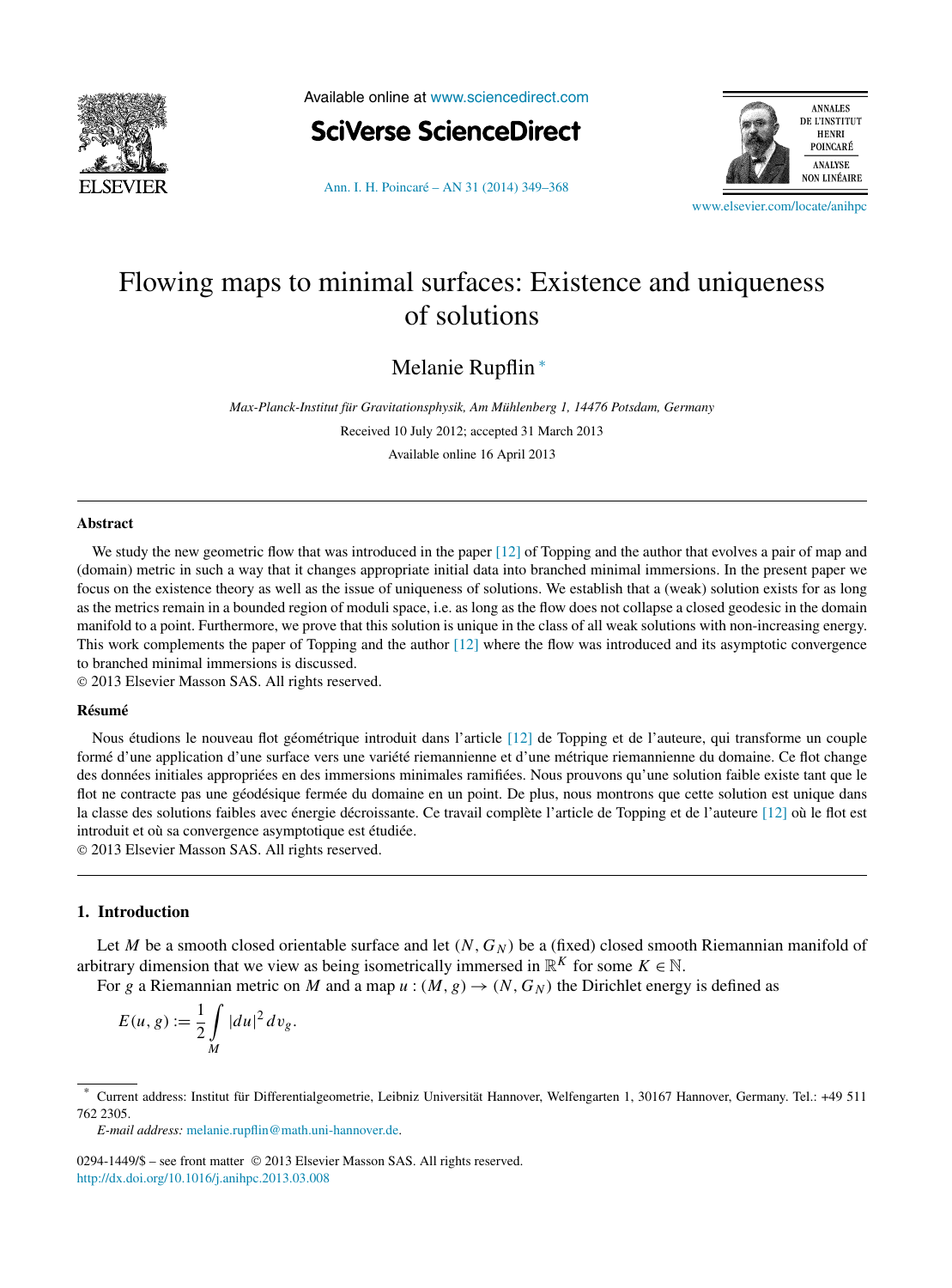

Available online at [www.sciencedirect.com](http://www.sciencedirect.com)





[Ann. I. H. Poincaré – AN 31 \(2014\) 349–368](http://dx.doi.org/10.1016/j.anihpc.2013.03.008)

[www.elsevier.com/locate/anihpc](http://www.elsevier.com/locate/anihpc)

# Flowing maps to minimal surfaces: Existence and uniqueness of solutions

Melanie Rupflin <sup>∗</sup>

*Max-Planck-Institut für Gravitationsphysik, Am Mühlenberg 1, 14476 Potsdam, Germany* Received 10 July 2012; accepted 31 March 2013

Available online 16 April 2013

#### **Abstract**

We study the new geometric flow that was introduced in the paper [\[12\]](#page-19-0) of Topping and the author that evolves a pair of map and (domain) metric in such a way that it changes appropriate initial data into branched minimal immersions. In the present paper we focus on the existence theory as well as the issue of uniqueness of solutions. We establish that a (weak) solution exists for as long as the metrics remain in a bounded region of moduli space, i.e. as long as the flow does not collapse a closed geodesic in the domain manifold to a point. Furthermore, we prove that this solution is unique in the class of all weak solutions with non-increasing energy. This work complements the paper of Topping and the author [\[12\]](#page-19-0) where the flow was introduced and its asymptotic convergence to branched minimal immersions is discussed.

© 2013 Elsevier Masson SAS. All rights reserved.

## **Résumé**

Nous étudions le nouveau flot géométrique introduit dans l'article [\[12\]](#page-19-0) de Topping et de l'auteure, qui transforme un couple formé d'une application d'une surface vers une variété riemannienne et d'une métrique riemannienne du domaine. Ce flot change des données initiales appropriées en des immersions minimales ramifiées. Nous prouvons qu'une solution faible existe tant que le flot ne contracte pas une géodésique fermée du domaine en un point. De plus, nous montrons que cette solution est unique dans la classe des solutions faibles avec énergie décroissante. Ce travail complète l'article de Topping et de l'auteure [\[12\]](#page-19-0) où le flot est introduit et où sa convergence asymptotique est étudiée.

© 2013 Elsevier Masson SAS. All rights reserved.

# **1. Introduction**

Let *M* be a smooth closed orientable surface and let  $(N, G_N)$  be a (fixed) closed smooth Riemannian manifold of arbitrary dimension that we view as being isometrically immersed in  $\mathbb{R}^K$  for some  $K \in \mathbb{N}$ .

For *g* a Riemannian metric on *M* and a map  $u : (M, g) \rightarrow (N, G_N)$  the Dirichlet energy is defined as

$$
E(u, g) := \frac{1}{2} \int\limits_M |du|^2 \, dv_g.
$$

<sup>\*</sup> Current address: Institut für Differentialgeometrie, Leibniz Universität Hannover, Welfengarten 1, 30167 Hannover, Germany. Tel.: +49 511 762 2305.

*E-mail address:* [melanie.rupflin@math.uni-hannover.de.](mailto:melanie.rupflin@math.uni-hannover.de)

<sup>0294-1449/\$ –</sup> see front matter © 2013 Elsevier Masson SAS. All rights reserved. <http://dx.doi.org/10.1016/j.anihpc.2013.03.008>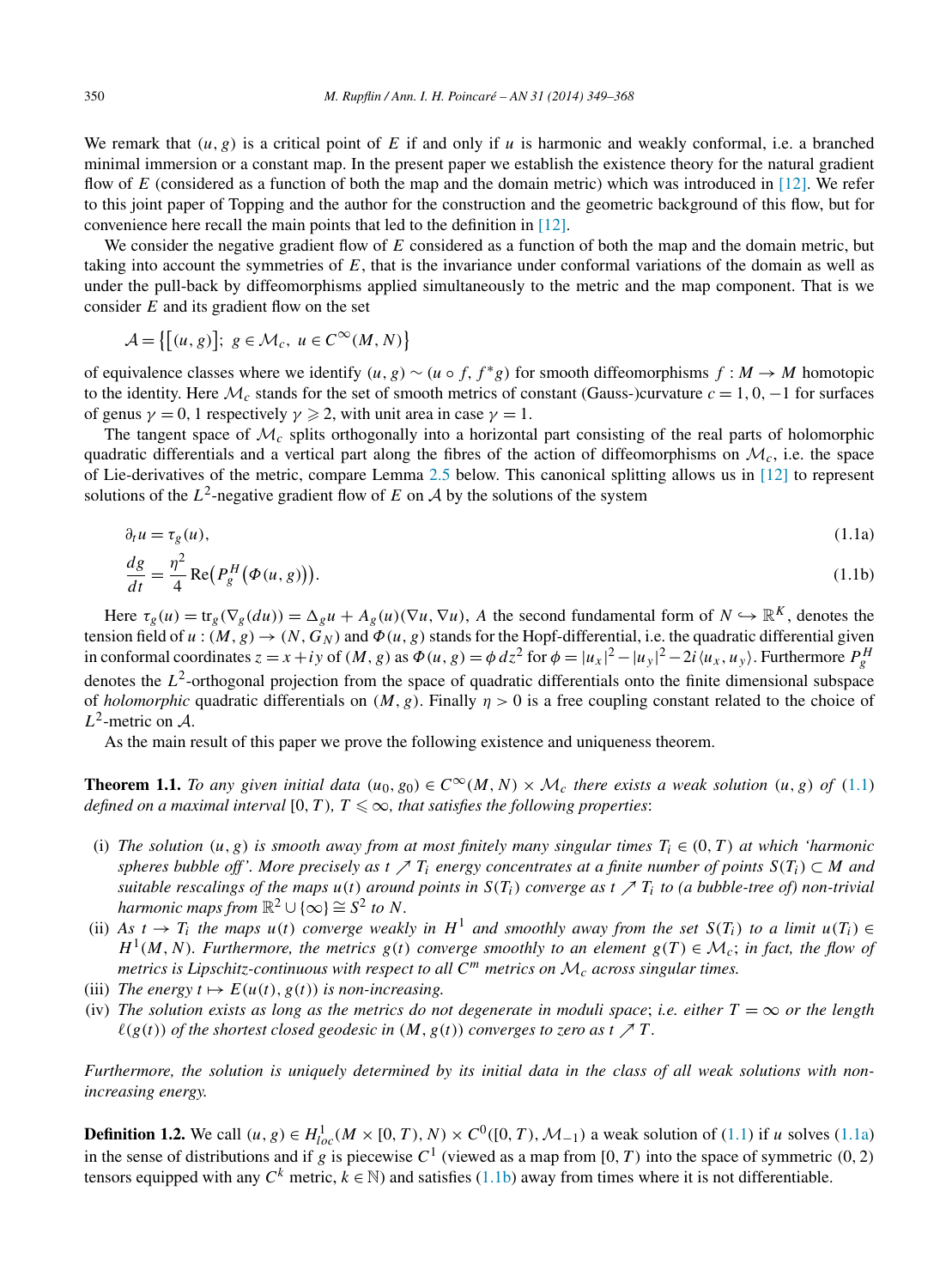<span id="page-1-0"></span>We remark that  $(u, g)$  is a critical point of E if and only if u is harmonic and weakly conformal, i.e. a branched minimal immersion or a constant map. In the present paper we establish the existence theory for the natural gradient flow of *E* (considered as a function of both the map and the domain metric) which was introduced in [\[12\].](#page-19-0) We refer to this joint paper of Topping and the author for the construction and the geometric background of this flow, but for convenience here recall the main points that led to the definition in [\[12\].](#page-19-0)

We consider the negative gradient flow of *E* considered as a function of both the map and the domain metric, but taking into account the symmetries of *E*, that is the invariance under conformal variations of the domain as well as under the pull-back by diffeomorphisms applied simultaneously to the metric and the map component. That is we consider *E* and its gradient flow on the set

$$
\mathcal{A} = \{ [(u, g)]; g \in \mathcal{M}_c, u \in C^{\infty}(M, N) \}
$$

of equivalence classes where we identify  $(u, g) \sim (u \circ f, f * g)$  for smooth diffeomorphisms  $f : M \to M$  homotopic to the identity. Here  $\mathcal{M}_c$  stands for the set of smooth metrics of constant (Gauss-)curvature  $c = 1, 0, -1$  for surfaces of genus  $\gamma = 0$ , 1 respectively  $\gamma \geq 2$ , with unit area in case  $\gamma = 1$ .

The tangent space of  $\mathcal{M}_c$  splits orthogonally into a horizontal part consisting of the real parts of holomorphic quadratic differentials and a vertical part along the fibres of the action of diffeomorphisms on  $\mathcal{M}_c$ , i.e. the space of Lie-derivatives of the metric, compare Lemma [2.5](#page-5-0) below. This canonical splitting allows us in [\[12\]](#page-19-0) to represent solutions of the  $L^2$ -negative gradient flow of E on A by the solutions of the system

$$
\partial_t u = \tau_g(u),\tag{1.1a}
$$

$$
\frac{dg}{dt} = \frac{\eta^2}{4} \operatorname{Re} \left( P_g^H \left( \Phi(u, g) \right) \right). \tag{1.1b}
$$

Here  $\tau_g(u) = \text{tr}_g(\nabla_g(du)) = \Delta_g u + A_g(u)(\nabla u, \nabla u)$ , *A* the second fundamental form of  $N \hookrightarrow \mathbb{R}^K$ , denotes the tension field of  $u:(M,g)\to (N,G_N)$  and  $\Phi(u,g)$  stands for the Hopf-differential, i.e. the quadratic differential given in conformal coordinates  $z = x + iy$  of  $(M, g)$  as  $\Phi(u, g) = \phi dz^2$  for  $\phi = |u_x|^2 - |u_y|^2 - 2i \langle u_x, u_y \rangle$ . Furthermore  $P_g^H$ denotes the *L*<sup>2</sup>-orthogonal projection from the space of quadratic differentials onto the finite dimensional subspace of *holomorphic* quadratic differentials on *(M,g)*. Finally *η >* 0 is a free coupling constant related to the choice of  $L^2$ -metric on A.

As the main result of this paper we prove the following existence and uniqueness theorem.

**Theorem 1.1.** *To any given initial data*  $(u_0, g_0) \in C^\infty(M, N) \times \mathcal{M}_c$  *there exists a weak solution*  $(u, g)$  *of* (1.1) *defined on a maximal interval* [0, *T*)*,*  $T \leq \infty$ *, that satisfies the following properties:* 

- (i) *The solution*  $(u, g)$  *is smooth away from at most finitely many singular times*  $T_i \in (0, T)$  *at which 'harmonic spheres bubble off'. More precisely as*  $t \nearrow T_i$  *energy concentrates at a finite number of points*  $S(T_i) \subset M$  *and suitable rescalings of the maps*  $u(t)$  *around points in*  $S(T_i)$  *converge as*  $t \nearrow T_i$  *to (a bubble-tree of) non-trivial harmonic maps from*  $\mathbb{R}^2 \cup \{\infty\} \cong S^2$  *to N*.
- (ii) As  $t \to T_i$  the maps  $u(t)$  converge weakly in  $H^1$  and smoothly away from the set  $S(T_i)$  to a limit  $u(T_i) \in$ *H*<sup>1</sup>(*M, N*)*. Furthermore, the metrics*  $g(t)$  *converge smoothly to an element*  $g(T) \in \mathcal{M}_c$ ; *in fact, the flow of metrics is Lipschitz-continuous with respect to all <sup>C</sup><sup>m</sup> metrics on* <sup>M</sup>*<sup>c</sup> across singular times.*
- (iii) *The energy*  $t \mapsto E(u(t), g(t))$  *is non-increasing.*
- (iv) The solution exists as long as the metrics do not degenerate in moduli space; *i.e.* either  $T = \infty$  or the length  $\ell(g(t))$  *of the shortest closed geodesic in*  $(M, g(t))$  *converges to zero as*  $t \nearrow T$ .

*Furthermore, the solution is uniquely determined by its initial data in the class of all weak solutions with nonincreasing energy.*

**Definition 1.2.** We call  $(u, g) \in H_{loc}^1(M \times [0, T), N) \times C^0([0, T), \mathcal{M}_{-1})$  a weak solution of (1.1) if *u* solves (1.1a) in the sense of distributions and if  $g$  is piecewise  $C^1$  (viewed as a map from [0*, T*) into the space of symmetric (0, 2) tensors equipped with any  $C^k$  metric,  $k \in \mathbb{N}$ ) and satisfies (1.1b) away from times where it is not differentiable.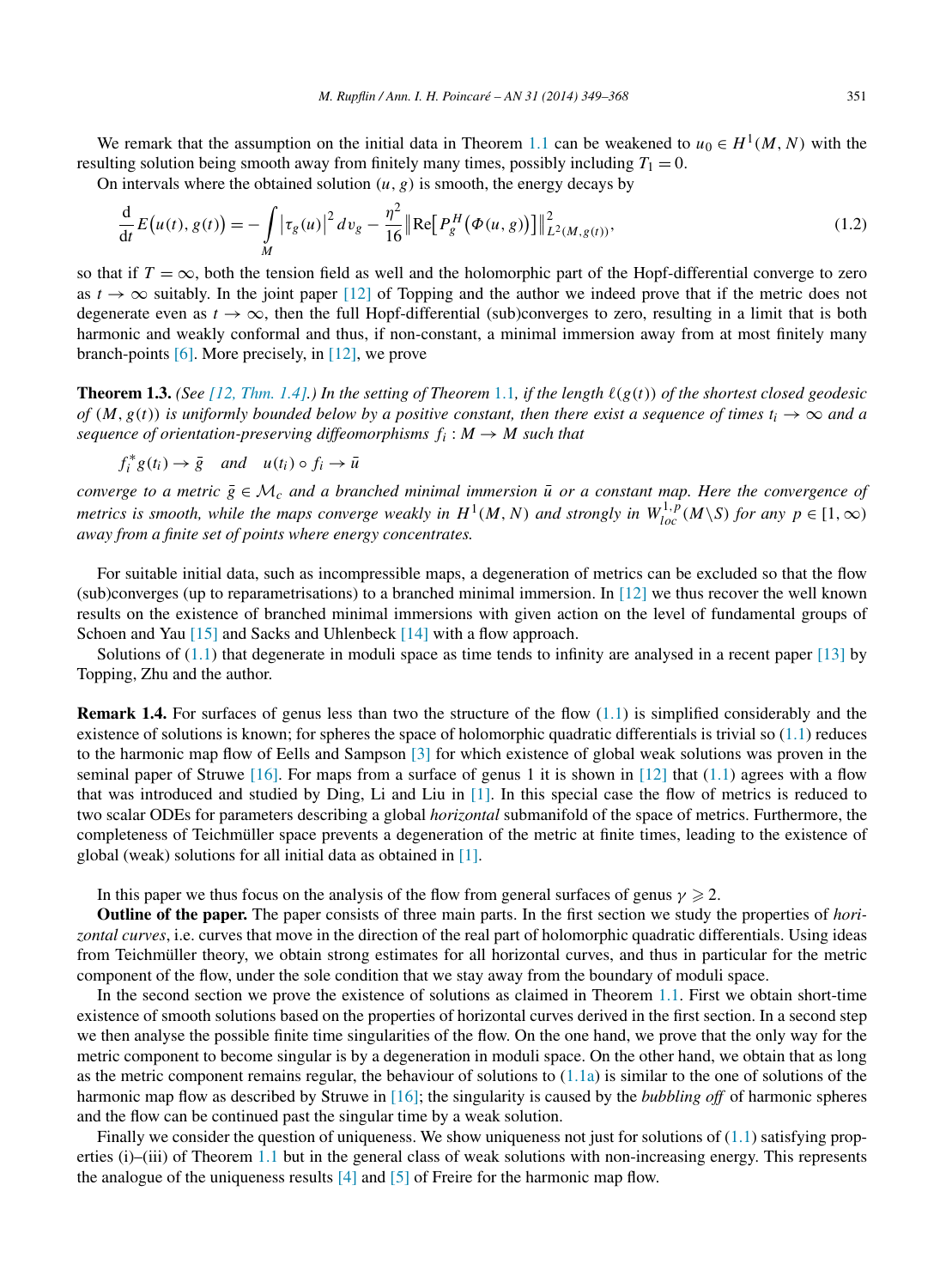<span id="page-2-0"></span>We remark that the assumption on the initial data in Theorem [1.1](#page-1-0) can be weakened to  $u_0 \in H^1(M, N)$  with the resulting solution being smooth away from finitely many times, possibly including  $T_1 = 0$ .

On intervals where the obtained solution  $(u, g)$  is smooth, the energy decays by

$$
\frac{d}{dt}E(u(t), g(t)) = -\int\limits_M |\tau_g(u)|^2 dv_g - \frac{\eta^2}{16} \|\text{Re}\big[P_g^H(\Phi(u, g))\big]\|_{L^2(M, g(t))}^2,
$$
\n(1.2)

so that if  $T = \infty$ , both the tension field as well and the holomorphic part of the Hopf-differential converge to zero as  $t \to \infty$  suitably. In the joint paper [\[12\]](#page-19-0) of Topping and the author we indeed prove that if the metric does not degenerate even as  $t \to \infty$ , then the full Hopf-differential (sub)converges to zero, resulting in a limit that is both harmonic and weakly conformal and thus, if non-constant, a minimal immersion away from at most finitely many branch-points [\[6\].](#page-18-0) More precisely, in [\[12\],](#page-19-0) we prove

**Theorem 1.3.** *(See [12, [Thm. 1.4\].](#page-19-0)) In the setting of Theorem* [1.1](#page-1-0)*, if the length (g(t)) of the shortest closed geodesic of*  $(M, g(t))$  *is uniformly bounded below by a positive constant, then there exist a sequence of times*  $t_i \to \infty$  *and a sequence of orientation-preserving diffeomorphisms*  $f_i : M \rightarrow M$  *such that* 

$$
f_i^* g(t_i) \to \bar{g} \quad and \quad u(t_i) \circ f_i \to \bar{u}
$$

*converge to a metric*  $\bar{g} \in M_c$  *and a branched minimal immersion*  $\bar{u}$  *or a constant map. Here the convergence of metrics is smooth, while the maps converge weakly in*  $H^1(M, N)$  *and strongly in*  $W^{1,p}_{loc}(M\setminus S)$  *for any*  $p \in [1, \infty)$ *away from a finite set of points where energy concentrates.*

For suitable initial data, such as incompressible maps, a degeneration of metrics can be excluded so that the flow (sub)converges (up to reparametrisations) to a branched minimal immersion. In [\[12\]](#page-19-0) we thus recover the well known results on the existence of branched minimal immersions with given action on the level of fundamental groups of Schoen and Yau [\[15\]](#page-19-0) and Sacks and Uhlenbeck [\[14\]](#page-19-0) with a flow approach.

Solutions of  $(1.1)$  that degenerate in moduli space as time tends to infinity are analysed in a recent paper [\[13\]](#page-19-0) by Topping, Zhu and the author.

**Remark 1.4.** For surfaces of genus less than two the structure of the flow [\(1.1\)](#page-1-0) is simplified considerably and the existence of solutions is known; for spheres the space of holomorphic quadratic differentials is trivial so  $(1.1)$  reduces to the harmonic map flow of Eells and Sampson [\[3\]](#page-18-0) for which existence of global weak solutions was proven in the seminal paper of Struwe  $[16]$ . For maps from a surface of genus 1 it is shown in  $[12]$  that  $(1.1)$  agrees with a flow that was introduced and studied by Ding, Li and Liu in [\[1\].](#page-18-0) In this special case the flow of metrics is reduced to two scalar ODEs for parameters describing a global *horizontal* submanifold of the space of metrics. Furthermore, the completeness of Teichmüller space prevents a degeneration of the metric at finite times, leading to the existence of global (weak) solutions for all initial data as obtained in [\[1\].](#page-18-0)

In this paper we thus focus on the analysis of the flow from general surfaces of genus  $\gamma \geqslant 2$ .

**Outline of the paper.** The paper consists of three main parts. In the first section we study the properties of *horizontal curves*, i.e. curves that move in the direction of the real part of holomorphic quadratic differentials. Using ideas from Teichmüller theory, we obtain strong estimates for all horizontal curves, and thus in particular for the metric component of the flow, under the sole condition that we stay away from the boundary of moduli space.

In the second section we prove the existence of solutions as claimed in Theorem [1.1.](#page-1-0) First we obtain short-time existence of smooth solutions based on the properties of horizontal curves derived in the first section. In a second step we then analyse the possible finite time singularities of the flow. On the one hand, we prove that the only way for the metric component to become singular is by a degeneration in moduli space. On the other hand, we obtain that as long as the metric component remains regular, the behaviour of solutions to  $(1.1a)$  is similar to the one of solutions of the harmonic map flow as described by Struwe in [\[16\];](#page-19-0) the singularity is caused by the *bubbling off* of harmonic spheres and the flow can be continued past the singular time by a weak solution.

Finally we consider the question of uniqueness. We show uniqueness not just for solutions of  $(1.1)$  satisfying prop-erties (i)–(iii) of Theorem [1.1](#page-1-0) but in the general class of weak solutions with non-increasing energy. This represents the analogue of the uniqueness results  $[4]$  and  $[5]$  of Freire for the harmonic map flow.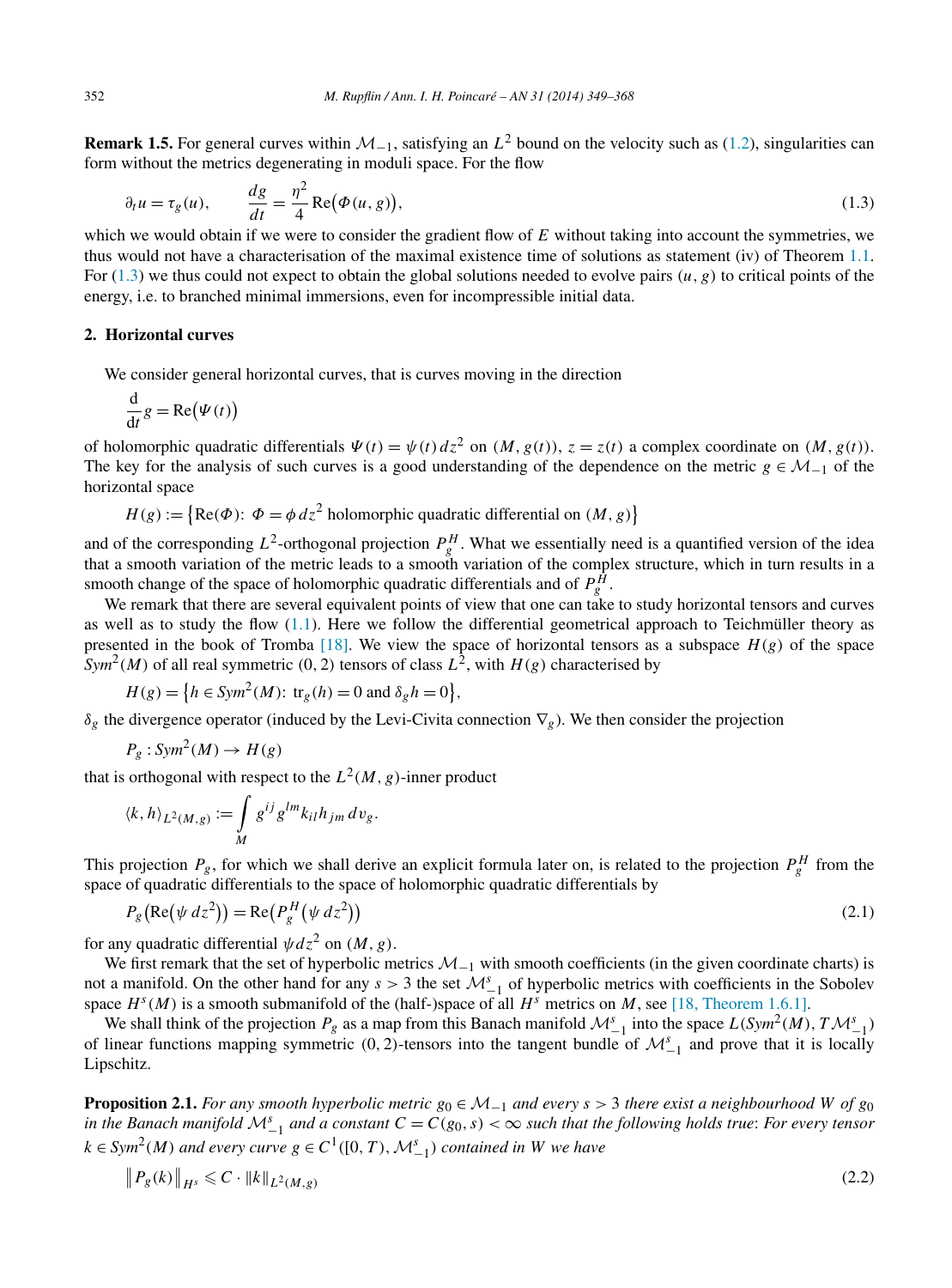<span id="page-3-0"></span>**Remark 1.5.** For general curves within  $M_{-1}$ , satisfying an  $L^2$  bound on the velocity such as [\(1.2\)](#page-2-0), singularities can form without the metrics degenerating in moduli space. For the flow

$$
\partial_t u = \tau_g(u), \qquad \frac{dg}{dt} = \frac{\eta^2}{4} \operatorname{Re}(\Phi(u, g)), \tag{1.3}
$$

which we would obtain if we were to consider the gradient flow of E without taking into account the symmetries, we thus would not have a characterisation of the maximal existence time of solutions as statement (iv) of Theorem [1.1.](#page-1-0) For  $(1.3)$  we thus could not expect to obtain the global solutions needed to evolve pairs  $(u, g)$  to critical points of the energy, i.e. to branched minimal immersions, even for incompressible initial data.

## **2. Horizontal curves**

We consider general horizontal curves, that is curves moving in the direction

$$
\frac{\mathrm{d}}{\mathrm{d}t}g = \mathrm{Re}(\Psi(t))
$$

of holomorphic quadratic differentials  $\Psi(t) = \psi(t) dz^2$  on  $(M, g(t))$ ,  $z = z(t)$  a complex coordinate on  $(M, g(t))$ . The key for the analysis of such curves is a good understanding of the dependence on the metric  $g \in M_{-1}$  of the horizontal space

 $H(g) := \{ \text{Re}(\Phi) : \Phi = \phi \, dz^2 \text{ holomorphic quadratic differential on } (M, g) \}$ 

and of the corresponding  $L^2$ -orthogonal projection  $P_g^H$ . What we essentially need is a quantified version of the idea that a smooth variation of the metric leads to a smooth variation of the complex structure, which in turn results in a smooth change of the space of holomorphic quadratic differentials and of  $P_g^H$ .

We remark that there are several equivalent points of view that one can take to study horizontal tensors and curves as well as to study the flow  $(1.1)$ . Here we follow the differential geometrical approach to Teichmüller theory as presented in the book of Tromba [\[18\].](#page-19-0) We view the space of horizontal tensors as a subspace  $H(g)$  of the space  $\int \text{Sym}^2(M)$  of all real symmetric (0, 2) tensors of class  $L^2$ , with  $H(g)$  characterised by

$$
H(g) = \left\{ h \in \text{Sym}^2(M) \colon \text{tr}_g(h) = 0 \text{ and } \delta_g h = 0 \right\},\
$$

*δg* the divergence operator (induced by the Levi-Civita connection  $\nabla$ <sub>*g*</sub>). We then consider the projection

$$
P_g: Sym^2(M) \to H(g)
$$

that is orthogonal with respect to the  $L^2(M, g)$ -inner product

$$
\langle k, h \rangle_{L^2(M, g)} := \int_M g^{ij} g^{lm} k_{il} h_{jm} \, dv_g.
$$

This projection  $P_g$ , for which we shall derive an explicit formula later on, is related to the projection  $P_g^H$  from the space of quadratic differentials to the space of holomorphic quadratic differentials by

$$
P_g(\text{Re}(\psi \, dz^2)) = \text{Re}(P_g^H(\psi \, dz^2))
$$
\n<sup>(2.1)</sup>

for any quadratic differential  $\psi dz^2$  on  $(M, g)$ .

We first remark that the set of hyperbolic metrics  $M_{-1}$  with smooth coefficients (in the given coordinate charts) is not a manifold. On the other hand for any  $s > 3$  the set  $\mathcal{M}_{-1}^s$  of hyperbolic metrics with coefficients in the Sobolev space  $H<sup>s</sup>(M)$  is a smooth submanifold of the (half-)space of all  $H<sup>s</sup>$  metrics on *M*, see [\[18, Theorem 1.6.1\].](#page-19-0)

We shall think of the projection  $P_g$  as a map from this Banach manifold  $\mathcal{M}_{-1}^s$  into the space  $L(Sym^2(M), T\mathcal{M}_{-1}^s)$ of linear functions mapping symmetric  $(0, 2)$ -tensors into the tangent bundle of  $\mathcal{M}_{-1}^s$  and prove that it is locally Lipschitz.

**Proposition 2.1.** *For any smooth hyperbolic metric*  $g_0 \in M_{-1}$  *and every*  $s > 3$  *there exist a neighbourhood W of*  $g_0$ *in the Banach manifold*  $M_{-1}^s$  *and a constant*  $C = C(g_0, s) < \infty$  *such that the following holds true: For every tensor k* ∈ *Sym*<sup>2</sup>(*M*) *and every curve*  $g$  ∈ *C*<sup>1</sup>([0, *T*),  $\mathcal{M}_{-1}^s$ ) *contained in W we have* 

$$
\|P_g(k)\|_{H^s} \leq C \cdot \|k\|_{L^2(M,g)}\tag{2.2}
$$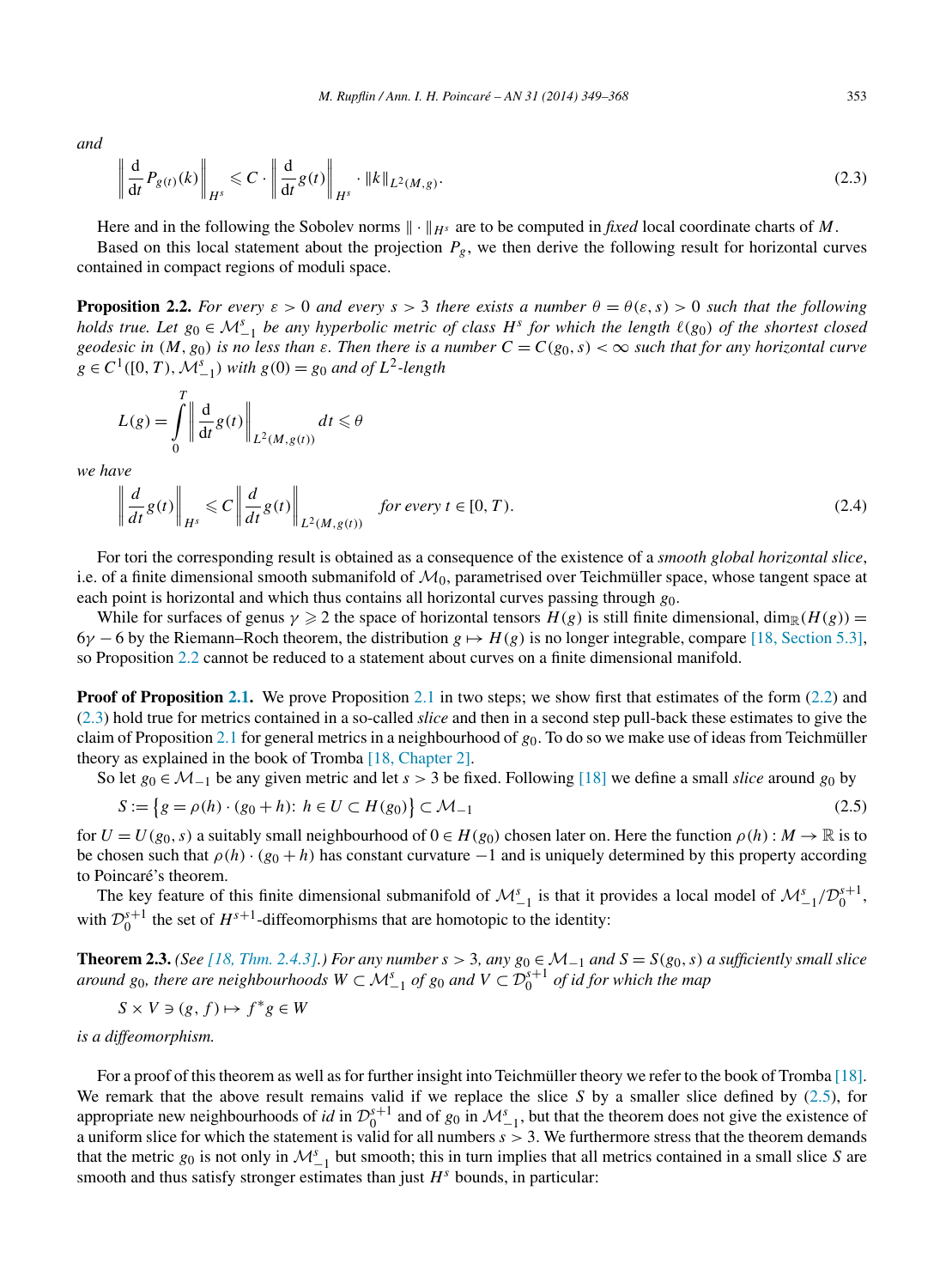<span id="page-4-0"></span>*and*

$$
\left\| \frac{\mathrm{d}}{\mathrm{d}t} P_{g(t)}(k) \right\|_{H^s} \leqslant C \cdot \left\| \frac{\mathrm{d}}{\mathrm{d}t} g(t) \right\|_{H^s} \cdot \left\| k \right\|_{L^2(M, g)}.\tag{2.3}
$$

Here and in the following the Sobolev norms  $\|\cdot\|_{H^s}$  are to be computed in *fixed* local coordinate charts of M. Based on this local statement about the projection  $P_g$ , we then derive the following result for horizontal curves contained in compact regions of moduli space.

**Proposition 2.2.** *For every*  $\varepsilon > 0$  *and every*  $s > 3$  *there exists a number*  $\theta = \theta(\varepsilon, s) > 0$  *such that the following holds true. Let*  $g_0 \in M_{-1}^s$  *be any hyperbolic metric of class*  $H^s$  *for which the length*  $\ell(g_0)$  *of the shortest closed geodesic in*  $(M, g_0)$  *is no less than*  $\varepsilon$ *. Then there is a number*  $C = C(g_0, s) < \infty$  *such that for any horizontal curve g* ∈  $C$ <sup>1</sup>([0, *T*),  $\mathcal{M}_{-1}^s$ ) *with*  $g(0) = g_0$  *and of*  $L^2$ -length

$$
L(g) = \int_{0}^{T} \left\| \frac{\mathrm{d}}{\mathrm{d}t} g(t) \right\|_{L^{2}(M, g(t))} dt \leq \theta
$$

*we have*

$$
\left\| \frac{d}{dt} g(t) \right\|_{H^s} \leq C \left\| \frac{d}{dt} g(t) \right\|_{L^2(M, g(t))} \quad \text{for every } t \in [0, T). \tag{2.4}
$$

For tori the corresponding result is obtained as a consequence of the existence of a *smooth global horizontal slice*, i.e. of a finite dimensional smooth submanifold of  $M_0$ , parametrised over Teichmüller space, whose tangent space at each point is horizontal and which thus contains all horizontal curves passing through *g*0.

While for surfaces of genus  $\gamma \geq 2$  the space of horizontal tensors  $H(g)$  is still finite dimensional,  $\dim_{\mathbb{R}}(H(g)) =$ 6*γ* − 6 by the Riemann–Roch theorem, the distribution *g* → *H(g)* is no longer integrable, compare [\[18, Section 5.3\],](#page-19-0) so Proposition 2.2 cannot be reduced to a statement about curves on a finite dimensional manifold.

**Proof of Proposition [2.1.](#page-3-0)** We prove Proposition [2.1](#page-3-0) in two steps; we show first that estimates of the form [\(2.2\)](#page-3-0) and (2.3) hold true for metrics contained in a so-called *slice* and then in a second step pull-back these estimates to give the claim of Proposition [2.1](#page-3-0) for general metrics in a neighbourhood of *g*0. To do so we make use of ideas from Teichmüller theory as explained in the book of Tromba [\[18, Chapter 2\].](#page-19-0)

So let *g*<sup>0</sup> ∈ M−<sup>1</sup> be any given metric and let *s >* 3 be fixed. Following [\[18\]](#page-19-0) we define a small *slice* around *g*<sup>0</sup> by

$$
S := \{ g = \rho(h) \cdot (g_0 + h) : h \in U \subset H(g_0) \} \subset \mathcal{M}_{-1}
$$
\n(2.5)

for  $U = U(g_0, s)$  a suitably small neighbourhood of  $0 \in H(g_0)$  chosen later on. Here the function  $\rho(h) : M \to \mathbb{R}$  is to be chosen such that  $\rho(h) \cdot (g_0 + h)$  has constant curvature  $-1$  and is uniquely determined by this property according to Poincaré's theorem.

The key feature of this finite dimensional submanifold of  $\mathcal{M}_{-1}^s$  is that it provides a local model of  $\mathcal{M}_{-1}^s/\mathcal{D}_0^{s+1}$ , with  $\mathcal{D}_0^{s+1}$  the set of  $H^{s+1}$ -diffeomorphisms that are homotopic to the identity:

**Theorem 2.3.** *(See [18, [Thm. 2.4.3\].](#page-19-0)) For any number s >* 3*, any g*<sup>0</sup> ∈ M−<sup>1</sup> *and S* = *S(g*0*,s) a sufficiently small slice around*  $g_0$ , there are neighbourhoods  $W \subset M_{-1}^s$  of  $g_0$  and  $V \subset \mathcal{D}_0^{s+1}$  of id for which the map

$$
S \times V \ni (g, f) \mapsto f^*g \in W
$$

*is a diffeomorphism.*

For a proof of this theorem as well as for further insight into Teichmüller theory we refer to the book of Tromba [\[18\].](#page-19-0) We remark that the above result remains valid if we replace the slice *S* by a smaller slice defined by (2.5), for appropriate new neighbourhoods of *id* in  $\mathcal{D}_0^{s+1}$  and of  $g_0$  in  $\mathcal{M}_{-1}^s$ , but that the theorem does not give the existence of a uniform slice for which the statement is valid for all numbers *s >* 3. We furthermore stress that the theorem demands that the metric  $g_0$  is not only in  $\mathcal{M}_{-1}^s$  but smooth; this in turn implies that all metrics contained in a small slice *S* are smooth and thus satisfy stronger estimates than just *H<sup>s</sup>* bounds, in particular: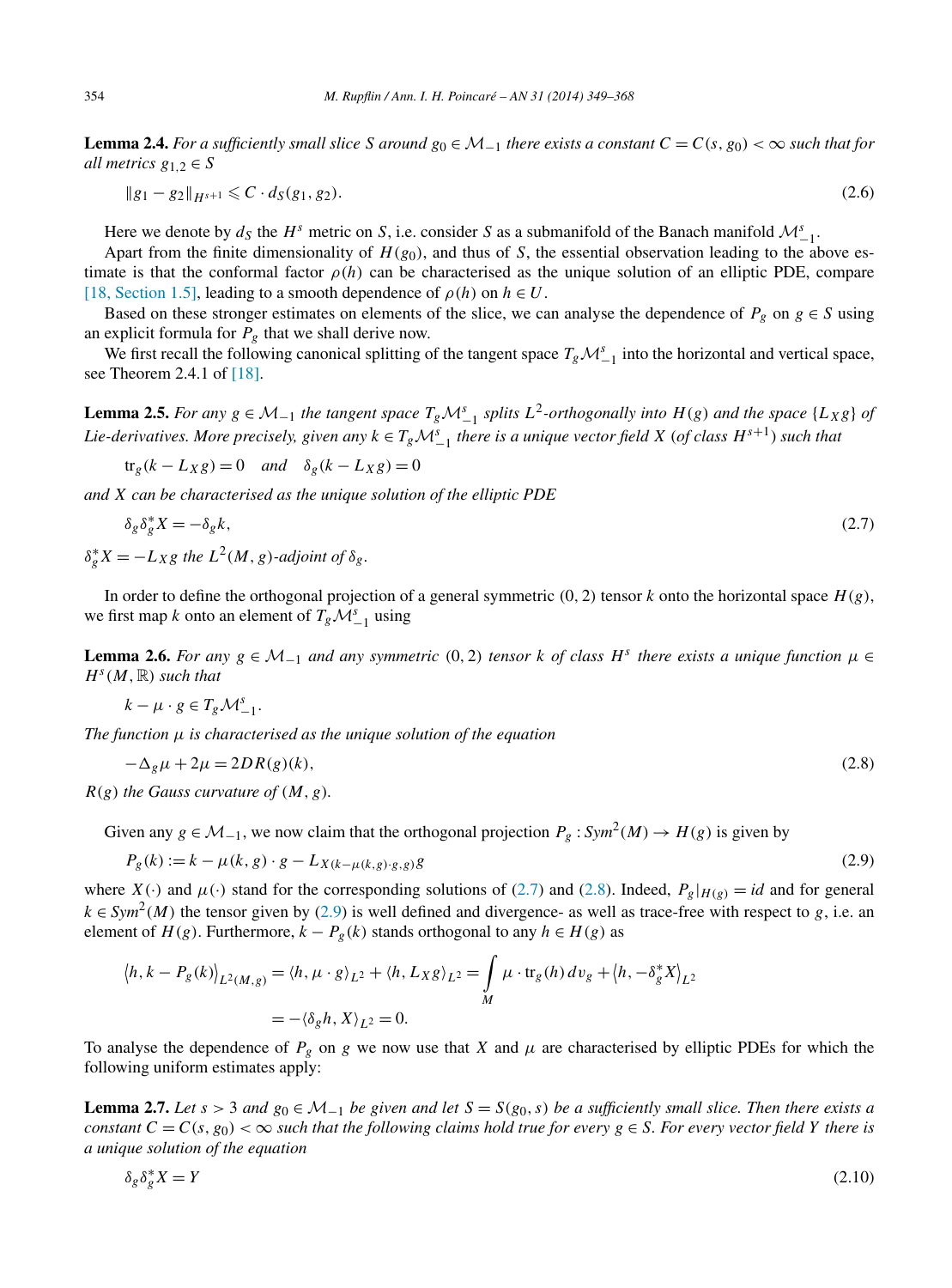<span id="page-5-0"></span>**Lemma 2.4.** *For a sufficiently small slice S* around  $g_0 \in M_{-1}$  *there exists a constant*  $C = C(s, g_0) < \infty$  *such that for all metrics*  $g_{1,2} \in S$ 

$$
||g_1 - g_2||_{H^{s+1}} \leq C \cdot d_S(g_1, g_2). \tag{2.6}
$$

Here we denote by  $d_S$  the  $H^s$  metric on *S*, i.e. consider *S* as a submanifold of the Banach manifold  $\mathcal{M}_{-1}^s$ .

Apart from the finite dimensionality of  $H(g_0)$ , and thus of *S*, the essential observation leading to the above estimate is that the conformal factor  $\rho(h)$  can be characterised as the unique solution of an elliptic PDE, compare [\[18, Section 1.5\],](#page-19-0) leading to a smooth dependence of  $\rho(h)$  on  $h \in U$ .

Based on these stronger estimates on elements of the slice, we can analyse the dependence of  $P_g$  on  $g \in S$  using an explicit formula for  $P_g$  that we shall derive now.

We first recall the following canonical splitting of the tangent space  $T_g\mathcal{M}_{-1}^s$  into the horizontal and vertical space, see Theorem 2.4.1 of [\[18\].](#page-19-0)

**Lemma 2.5.** *For any*  $g \in M_{-1}$  *the tangent space*  $T_gM_{-1}^s$  *splits*  $L^2$ -*orthogonally into*  $H(g)$  *and the space* {*L<sub>X</sub>g*} *of* Lie-derivatives. More precisely, given any  $k \in T_g \mathcal{M}_{-1}^s$  there is a unique vector field  $X$  (of class  $H^{s+1}$ ) such that

 $tr<sub>g</sub>(k - L_X g) = 0$  *and*  $\delta<sub>g</sub>(k - L_X g) = 0$ 

*and X can be characterised as the unique solution of the elliptic PDE*

$$
\delta_g \delta_g^* X = -\delta_g k,\tag{2.7}
$$

 $\delta_g^* X = -L_X g$  *the*  $L^2(M, g)$ *-adjoint of*  $\delta_g$ *.* 

In order to define the orthogonal projection of a general symmetric  $(0, 2)$  tensor *k* onto the horizontal space  $H(g)$ , we first map *k* onto an element of  $T_g \mathcal{M}_{-1}^s$  using

**Lemma 2.6.** For any  $g \in M_{-1}$  and any symmetric (0, 2) tensor k of class  $H^s$  there exists a unique function  $\mu \in$  $H^s(M,\mathbb{R})$  *such that* 

$$
k-\mu\cdot g\in T_g\mathcal{M}_{-1}^s.
$$

*The function μ is characterised as the unique solution of the equation*

$$
-\Delta_g \mu + 2\mu = 2DR(g)(k),\tag{2.8}
$$

 $R(g)$  *the Gauss curvature of*  $(M, g)$ *.* 

Given any  $g \in M_{-1}$ , we now claim that the orthogonal projection  $P_g : Sym^2(M) \to H(g)$  is given by

$$
P_g(k) := k - \mu(k, g) \cdot g - L_{X(k - \mu(k, g) \cdot g, g)}g
$$
\n(2.9)

where  $X(\cdot)$  and  $\mu(\cdot)$  stand for the corresponding solutions of (2.7) and (2.8). Indeed,  $P_g|_{H(g)} = id$  and for general  $k \in Sym^2(M)$  the tensor given by (2.9) is well defined and divergence- as well as trace-free with respect to *g*, i.e. an element of *H(g)*. Furthermore,  $k - P_g(k)$  stands orthogonal to any  $h \in H(g)$  as

$$
\langle h, k - P_g(k) \rangle_{L^2(M, g)} = \langle h, \mu \cdot g \rangle_{L^2} + \langle h, L_X g \rangle_{L^2} = \int_M \mu \cdot \text{tr}_g(h) \, dv_g + \langle h, -\delta_g^* X \rangle_{L^2}
$$

$$
= -\langle \delta_g h, X \rangle_{L^2} = 0.
$$

To analyse the dependence of  $P_g$  on *g* we now use that *X* and  $\mu$  are characterised by elliptic PDEs for which the following uniform estimates apply:

**Lemma 2.7.** *Let*  $s > 3$  *and*  $g_0 \in M_{-1}$  *be given and let*  $S = S(g_0, s)$  *be a sufficiently small slice. Then there exists a constant*  $C = C(s, g_0) < \infty$  *such that the following claims hold true for every*  $g \in S$ *. For every vector field Y there is a unique solution of the equation*

$$
\delta_g \delta_g^* X = Y \tag{2.10}
$$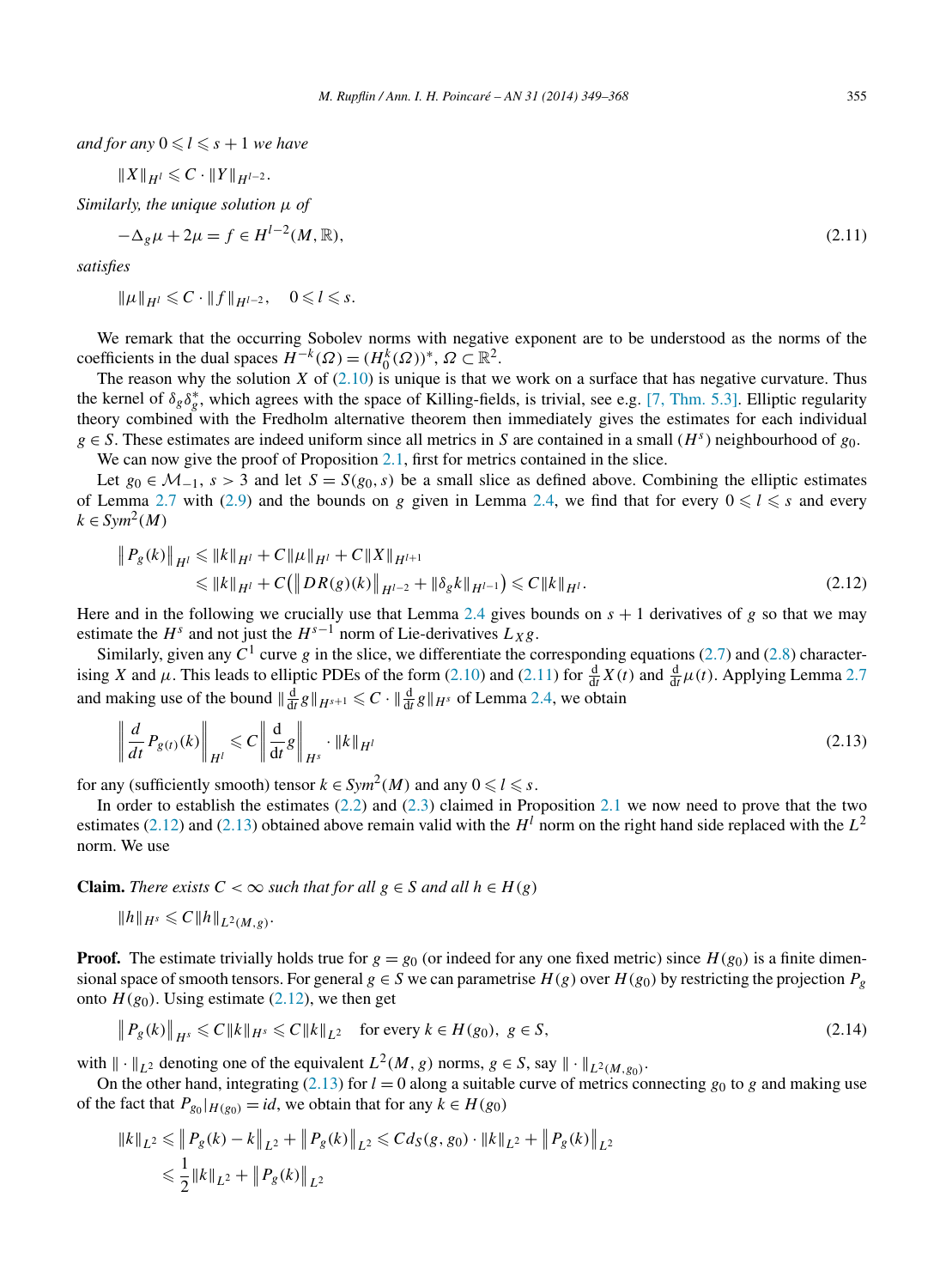<span id="page-6-0"></span>*and for any*  $0 \le l \le s + 1$  *we have* 

$$
\|X\|_{H^l}\leqslant C\cdot \|Y\|_{H^{l-2}}.
$$

*Similarly, the unique solution μ of*

$$
-\Delta_g \mu + 2\mu = f \in H^{l-2}(M, \mathbb{R}),\tag{2.11}
$$

*satisfies*

$$
\|\mu\|_{H^l}\leqslant C\cdot \|f\|_{H^{l-2}},\quad 0\leqslant l\leqslant s.
$$

We remark that the occurring Sobolev norms with negative exponent are to be understood as the norms of the coefficients in the dual spaces  $H^{-k}(\Omega) = (H_0^k(\Omega))^*, \Omega \subset \mathbb{R}^2$ .

The reason why the solution *X* of  $(2.10)$  is unique is that we work on a surface that has negative curvature. Thus the kernel of  $\delta_g \delta_g^*$ , which agrees with the space of Killing-fields, is trivial, see e.g. [\[7, Thm. 5.3\].](#page-18-0) Elliptic regularity theory combined with the Fredholm alternative theorem then immediately gives the estimates for each individual *g* ∈ *S*. These estimates are indeed uniform since all metrics in *S* are contained in a small (*H*<sup>*s*</sup>) neighbourhood of *g*<sub>0</sub>. We can now give the proof of Proposition [2.1,](#page-3-0) first for metrics contained in the slice.

Let  $g_0 \in \mathcal{M}_{-1}$ ,  $s > 3$  and let  $S = S(g_0, s)$  be a small slice as defined above. Combining the elliptic estimates of Lemma [2.7](#page-5-0) with [\(2.9\)](#page-5-0) and the bounds on *g* given in Lemma [2.4,](#page-5-0) we find that for every  $0 \le l \le s$  and every  $k \in Sym^2(M)$ 

$$
\|P_g(k)\|_{H^l} \le \|k\|_{H^l} + C \|\mu\|_{H^l} + C \|X\|_{H^{l+1}} \le \|k\|_{H^l} + C (\|DR(g)(k)\|_{H^{l-2}} + \|\delta_g k\|_{H^{l-1}}) \le C \|k\|_{H^l}.
$$
\n(2.12)

Here and in the following we crucially use that Lemma [2.4](#page-5-0) gives bounds on  $s + 1$  derivatives of  $g$  so that we may estimate the  $H^s$  and not just the  $H^{s-1}$  norm of Lie-derivatives  $L_X g$ .

Similarly, given any  $C^1$  curve  $g$  in the slice, we differentiate the corresponding equations [\(2.7\)](#page-5-0) and [\(2.8\)](#page-5-0) characterising *X* and  $\mu$ . This leads to elliptic PDEs of the form [\(2.10\)](#page-5-0) and (2.11) for  $\frac{d}{dt}X(t)$  and  $\frac{d}{dt}\mu(t)$ . Applying Lemma [2.7](#page-5-0) and making use of the bound  $\|\frac{d}{dt}g\|_{H^{s+1}} \leq C \cdot \|\frac{d}{dt}g\|_{H^s}$  of Lemma [2.4,](#page-5-0) we obtain

$$
\left\| \frac{d}{dt} P_{g(t)}(k) \right\|_{H^l} \leqslant C \left\| \frac{d}{dt} g \right\|_{H^s} \cdot \|k\|_{H^l}
$$
\n(2.13)

for any (sufficiently smooth) tensor  $k \in Sym^2(M)$  and any  $0 \le l \le s$ .

In order to establish the estimates [\(2.2\)](#page-3-0) and [\(2.3\)](#page-4-0) claimed in Proposition [2.1](#page-3-0) we now need to prove that the two estimates (2.12) and (2.13) obtained above remain valid with the  $H^l$  norm on the right hand side replaced with the  $L^2$ norm. We use

**Claim.** *There exists*  $C < \infty$  *such that for all*  $g \in S$  *and all*  $h \in H(g)$ 

$$
||h||_{H^s} \leq C||h||_{L^2(M,g)}.
$$

**Proof.** The estimate trivially holds true for  $g = g_0$  (or indeed for any one fixed metric) since  $H(g_0)$  is a finite dimensional space of smooth tensors. For general  $g \in S$  we can parametrise  $H(g)$  over  $H(g_0)$  by restricting the projection  $P_g$ onto  $H(g_0)$ . Using estimate (2.12), we then get

$$
\|P_g(k)\|_{H^s} \leq C \|k\|_{H^s} \leq C \|k\|_{L^2} \quad \text{for every } k \in H(g_0), \ g \in S,
$$
\n(2.14)

with  $\|\cdot\|_{L^2}$  denoting one of the equivalent  $L^2(M, g)$  norms,  $g \in S$ , say  $\|\cdot\|_{L^2(M, g_0)}$ .

On the other hand, integrating (2.13) for  $l = 0$  along a suitable curve of metrics connecting  $g_0$  to  $g$  and making use of the fact that  $P_{g_0}|_{H(g_0)} = id$ , we obtain that for any  $k \in H(g_0)$ 

$$
\begin{aligned} ||k||_{L^2} &\leq ||P_g(k) - k||_{L^2} + ||P_g(k)||_{L^2} \leq C d_S(g, g_0) \cdot ||k||_{L^2} + ||P_g(k)||_{L^2} \\ &\leq \frac{1}{2} ||k||_{L^2} + ||P_g(k)||_{L^2} \end{aligned}
$$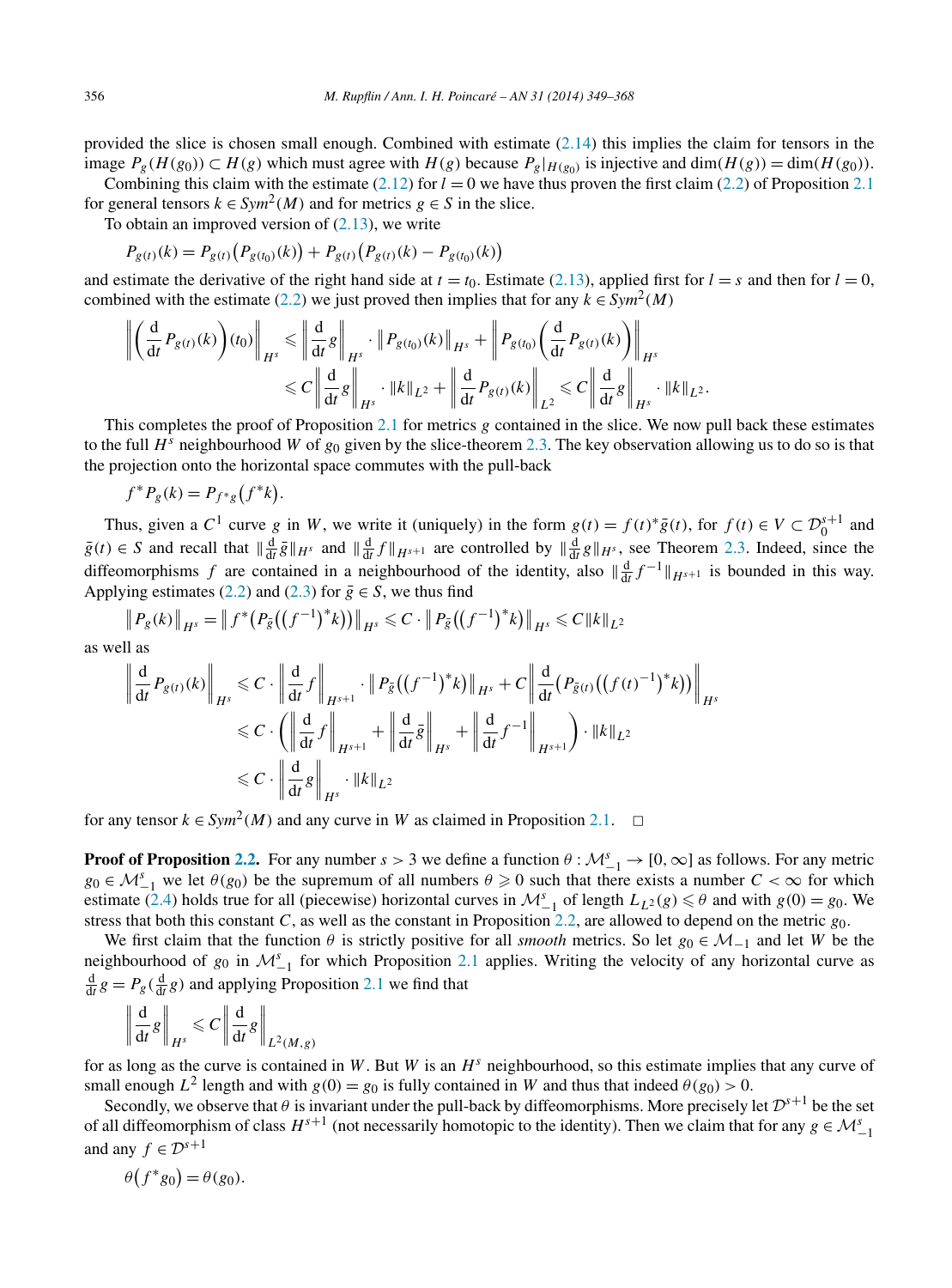provided the slice is chosen small enough. Combined with estimate  $(2.14)$  this implies the claim for tensors in the image  $P_g(H(g_0))$  ⊂  $H(g)$  which must agree with  $H(g)$  because  $P_g|_{H(g_0)}$  is injective and dim( $H(g)$ ) = dim( $H(g_0)$ ).

Combining this claim with the estimate  $(2.12)$  for  $l = 0$  we have thus proven the first claim [\(2.2\)](#page-3-0) of Proposition [2.1](#page-3-0) for general tensors  $k \in Sym^2(M)$  and for metrics  $g \in S$  in the slice.

To obtain an improved version of [\(2.13\)](#page-6-0), we write

$$
P_{g(t)}(k) = P_{g(t)}(P_{g(t_0)}(k)) + P_{g(t)}(P_{g(t)}(k) - P_{g(t_0)}(k))
$$

and estimate the derivative of the right hand side at  $t = t_0$ . Estimate [\(2.13\)](#page-6-0), applied first for  $l = s$  and then for  $l = 0$ , combined with the estimate [\(2.2\)](#page-3-0) we just proved then implies that for any  $k \in Sym^2(M)$ 

$$
\left\| \left( \frac{\mathrm{d}}{\mathrm{d}t} P_{g(t)}(k) \right) (t_0) \right\|_{H^s} \leqslant \left\| \frac{\mathrm{d}}{\mathrm{d}t} g \right\|_{H^s} \cdot \left\| P_{g(t_0)}(k) \right\|_{H^s} + \left\| P_{g(t_0)} \left( \frac{\mathrm{d}}{\mathrm{d}t} P_{g(t)}(k) \right) \right\|_{H^s}
$$
  

$$
\leqslant C \left\| \frac{\mathrm{d}}{\mathrm{d}t} g \right\|_{H^s} \cdot \left\| k \right\|_{L^2} + \left\| \frac{\mathrm{d}}{\mathrm{d}t} P_{g(t)}(k) \right\|_{L^2} \leqslant C \left\| \frac{\mathrm{d}}{\mathrm{d}t} g \right\|_{H^s} \cdot \left\| k \right\|_{L^2}.
$$

This completes the proof of Proposition [2.1](#page-3-0) for metrics *g* contained in the slice. We now pull back these estimates to the full  $H^s$  neighbourhood *W* of  $g_0$  given by the slice-theorem [2.3.](#page-4-0) The key observation allowing us to do so is that the projection onto the horizontal space commutes with the pull-back

$$
f^*P_g(k) = P_{f^*g}(f^*k).
$$

Thus, given a  $C^1$  curve  $g$  in  $W$ , we write it (uniquely) in the form  $g(t) = f(t)^* \overline{g}(t)$ , for  $f(t) \in V \subset \mathcal{D}_0^{s+1}$  and  $g(t) \in S$  and recall that  $\|\frac{d}{dt}\overline{g}\|_{H^s}$  and  $\|\frac{d}{dt}f\|_{H^{s+1}}$  are controlled by  $\|\frac{d}{dt}g\|_{H^s}$ , see Theorem [2.3.](#page-4-0) Indeed, since the diffeomorphisms *f* are contained in a neighbourhood of the identity, also  $\|\frac{d}{dt} f^{-1}\|_{H^{s+1}}$  is bounded in this way. Applying estimates [\(2.2\)](#page-3-0) and [\(2.3\)](#page-4-0) for  $\bar{g} \in S$ , we thus find

$$
\|P_g(k)\|_{H^s} = \|f^*(P_{\bar{g}}((f^{-1})^*k))\|_{H^s} \leq C \cdot \|P_{\bar{g}}((f^{-1})^*k)\|_{H^s} \leq C \|k\|_{L^2}
$$

as well as

$$
\left\| \frac{\mathrm{d}}{\mathrm{d}t} P_{g(t)}(k) \right\|_{H^s} \leq C \cdot \left\| \frac{\mathrm{d}}{\mathrm{d}t} f \right\|_{H^{s+1}} \cdot \left\| P_{\bar{g}} \left( \left( f^{-1} \right)^* k \right) \right\|_{H^s} + C \left\| \frac{\mathrm{d}}{\mathrm{d}t} \left( P_{\bar{g}(t)} \left( \left( f(t)^{-1} \right)^* k \right) \right) \right\|_{H^s}
$$
  

$$
\leq C \cdot \left( \left\| \frac{\mathrm{d}}{\mathrm{d}t} f \right\|_{H^{s+1}} + \left\| \frac{\mathrm{d}}{\mathrm{d}t} \bar{g} \right\|_{H^s} + \left\| \frac{\mathrm{d}}{\mathrm{d}t} f^{-1} \right\|_{H^{s+1}} \right) \cdot \left\| k \right\|_{L^2}
$$
  

$$
\leq C \cdot \left\| \frac{\mathrm{d}}{\mathrm{d}t} g \right\|_{H^s} \cdot \left\| k \right\|_{L^2}
$$

for any tensor  $k \in Sym^2(M)$  and any curve in W as claimed in Proposition [2.1.](#page-3-0)  $\Box$ 

**Proof of Proposition [2.2.](#page-4-0)** For any number  $s > 3$  we define a function  $\theta : \mathcal{M}_{-1}^s \to [0, \infty]$  as follows. For any metric  $g_0 \in M_{-1}^s$  we let  $\theta(g_0)$  be the supremum of all numbers  $\theta \geq 0$  such that there exists a number  $C < \infty$  for which estimate [\(2.4\)](#page-4-0) holds true for all (piecewise) horizontal curves in  $\mathcal{M}_{-1}^s$  of length  $L_{L^2}(g) \le \theta$  and with  $g(0) = g_0$ . We stress that both this constant *C*, as well as the constant in Proposition [2.2,](#page-4-0) are allowed to depend on the metric *g*0.

We first claim that the function  $\theta$  is strictly positive for all *smooth* metrics. So let  $g_0 \in \mathcal{M}_{-1}$  and let *W* be the neighbourhood of  $g_0$  in  $\mathcal{M}_{-1}^s$  for which Proposition [2.1](#page-3-0) applies. Writing the velocity of any horizontal curve as  $\frac{d}{dt}g = P_g(\frac{d}{dt}g)$  and applying Proposition [2.1](#page-3-0) we find that

$$
\left\| \frac{\mathrm{d}}{\mathrm{d}t} g \right\|_{H^s} \leqslant C \left\| \frac{\mathrm{d}}{\mathrm{d}t} g \right\|_{L^2(M, g)}
$$

for as long as the curve is contained in *W*. But *W* is an *H<sup>s</sup>* neighbourhood, so this estimate implies that any curve of small enough  $L^2$  length and with  $g(0) = g_0$  is fully contained in *W* and thus that indeed  $\theta(g_0) > 0$ .

Secondly, we observe that  $\theta$  is invariant under the pull-back by diffeomorphisms. More precisely let  $\mathcal{D}^{s+1}$  be the set of all diffeomorphism of class  $H^{s+1}$  (not necessarily homotopic to the identity). Then we claim that for any  $g \in \mathcal{M}_{-1}^s$ and any  $f \in \mathcal{D}^{s+1}$ 

$$
\theta(f^*g_0) = \theta(g_0).
$$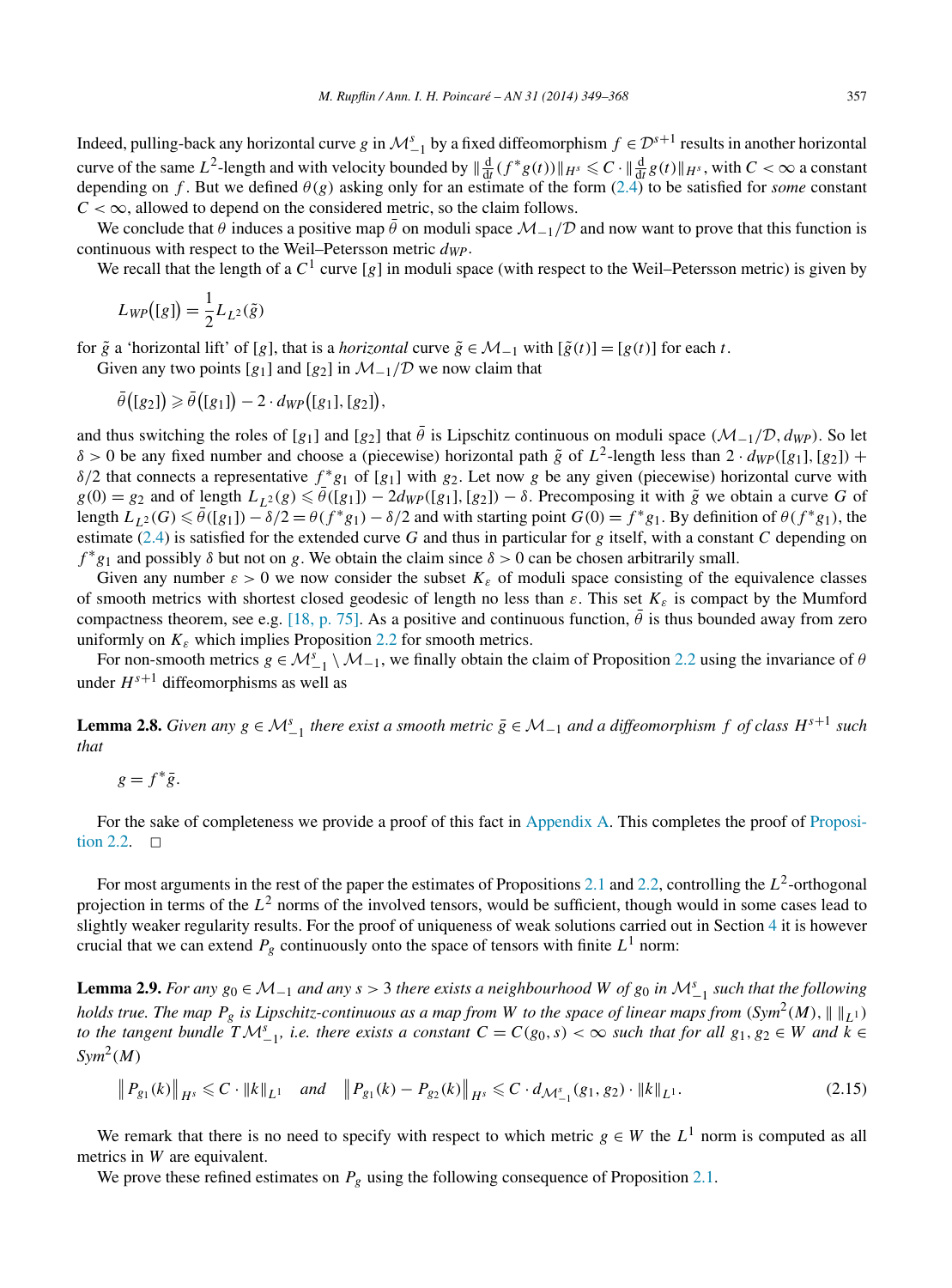<span id="page-8-0"></span>Indeed, pulling-back any horizontal curve *g* in  $\mathcal{M}_{-1}^s$  by a fixed diffeomorphism  $f \in \mathcal{D}^{s+1}$  results in another horizontal curve of the same  $L^2$ -length and with velocity bounded by  $\|\frac{d}{dt}(f^*g(t))\|_{H^s} \leq C \cdot \|\frac{d}{dt}g(t)\|_{H^s}$ , with  $C < \infty$  a constant depending on *f*. But we defined  $\theta(g)$  asking only for an estimate of the form [\(2.4\)](#page-4-0) to be satisfied for *some* constant  $C < \infty$ , allowed to depend on the considered metric, so the claim follows.

We conclude that  $\theta$  induces a positive map  $\bar{\theta}$  on moduli space  $\mathcal{M}_{-1}/\mathcal{D}$  and now want to prove that this function is continuous with respect to the Weil–Petersson metric *dWP*.

We recall that the length of a  $C^1$  curve [g] in moduli space (with respect to the Weil–Petersson metric) is given by

$$
L_{WP}([g]) = \frac{1}{2} L_{L^2}(\tilde{g})
$$

for  $\tilde{g}$  a 'horizontal lift' of [*g*], that is a *horizontal* curve  $\tilde{g} \in \mathcal{M}_{-1}$  with  $[\tilde{g}(t)] = [g(t)]$  for each *t*.

Given any two points  $[g_1]$  and  $[g_2]$  in  $\mathcal{M}_{-1}/\mathcal{D}$  we now claim that

$$
\bar{\theta}([g_2]) \geq \bar{\theta}([g_1]) - 2 \cdot d_{WP}([g_1], [g_2]),
$$

and thus switching the roles of [*g*<sub>1</sub>] and [*g*<sub>2</sub>] that  $\bar{\theta}$  is Lipschitz continuous on moduli space  $(M_{-1}/\mathcal{D}, d_{WP})$ . So let  $δ > 0$  be any fixed number and choose a (piecewise) horizontal path  $\tilde{g}$  of  $L^2$ -length less than  $2 \cdot d_{WP}([g_1], [g_2])$  + *δ/*2 that connects a representative *f* <sup>∗</sup>*g*<sup>1</sup> of [*g*1] with *g*2. Let now *g* be any given (piecewise) horizontal curve with  $g(0) = g_2$  and of length  $L_{1,2}(g) \le \bar{\theta}([g_1]) - 2d_{WP}([g_1], [g_2]) - \delta$ . Precomposing it with  $\tilde{g}$  we obtain a curve G of length  $L_{L^2}(G) \le \bar{\theta}([g_1]) - \delta/2 = \theta(f^*g_1) - \delta/2$  and with starting point  $G(0) = f^*g_1$ . By definition of  $\theta(f^*g_1)$ , the estimate [\(2.4\)](#page-4-0) is satisfied for the extended curve *G* and thus in particular for *g* itself, with a constant *C* depending on  $f^*g_1$  and possibly  $\delta$  but not on *g*. We obtain the claim since  $\delta > 0$  can be chosen arbitrarily small.

Given any number  $\varepsilon > 0$  we now consider the subset  $K_{\varepsilon}$  of moduli space consisting of the equivalence classes of smooth metrics with shortest closed geodesic of length no less than *ε*. This set *Kε* is compact by the Mumford compactness theorem, see e.g. [\[18, p. 75\].](#page-19-0) As a positive and continuous function,  $\bar{\theta}$  is thus bounded away from zero uniformly on  $K_{\varepsilon}$  which implies Proposition [2.2](#page-4-0) for smooth metrics.

For non-smooth metrics  $g \in M_{-1}^s \setminus M_{-1}$ , we finally obtain the claim of Proposition [2.2](#page-4-0) using the invariance of *θ* under  $H^{s+1}$  diffeomorphisms as well as

**Lemma 2.8.** Given any  $g \in M_{-1}^s$  there exist a smooth metric  $\bar{g} \in M_{-1}$  and a diffeomorphism  $f$  of class  $H^{s+1}$  such *that*

$$
g = f^* \bar{g}.
$$

For the sake of completeness we provide a proof of this fact in [Appendix](#page-16-0) A. This completes the proof of [Proposi](#page-4-0)[tion 2.2.](#page-4-0)  $\Box$ 

For most arguments in the rest of the paper the estimates of Propositions [2.1](#page-3-0) and [2.2,](#page-4-0) controlling the  $L^2$ -orthogonal projection in terms of the  $L^2$  norms of the involved tensors, would be sufficient, though would in some cases lead to slightly weaker regularity results. For the proof of uniqueness of weak solutions carried out in Section [4](#page-14-0) it is however crucial that we can extend  $P_g$  continuously onto the space of tensors with finite  $L^1$  norm:

**Lemma 2.9.** *For any*  $g_0 \in M_{-1}$  *and any*  $s > 3$  *there exists a neighbourhood W of*  $g_0$  *in*  $M_{-1}^s$  *such that the following holds true. The map*  $P_g$  *is Lipschitz-continuous as a map from W to the space of linear maps from*  $(Sym^2(M), \|\ \|_{L^1})$ *to the tangent bundle*  $T\mathcal{M}_{-1}^s$ , *i.e. there exists a constant*  $C = C(g_0, s) < \infty$  such that for all  $g_1, g_2 \in W$  and  $\overline{k} \in$ *Sym*2*(M)*

$$
\|P_{g_1}(k)\|_{H^s} \leq C \cdot \|k\|_{L^1} \quad \text{and} \quad \|P_{g_1}(k) - P_{g_2}(k)\|_{H^s} \leq C \cdot d_{\mathcal{M}^s_{-1}}(g_1, g_2) \cdot \|k\|_{L^1}.
$$

We remark that there is no need to specify with respect to which metric  $g \in W$  the  $L^1$  norm is computed as all metrics in *W* are equivalent.

We prove these refined estimates on  $P_g$  using the following consequence of Proposition [2.1.](#page-3-0)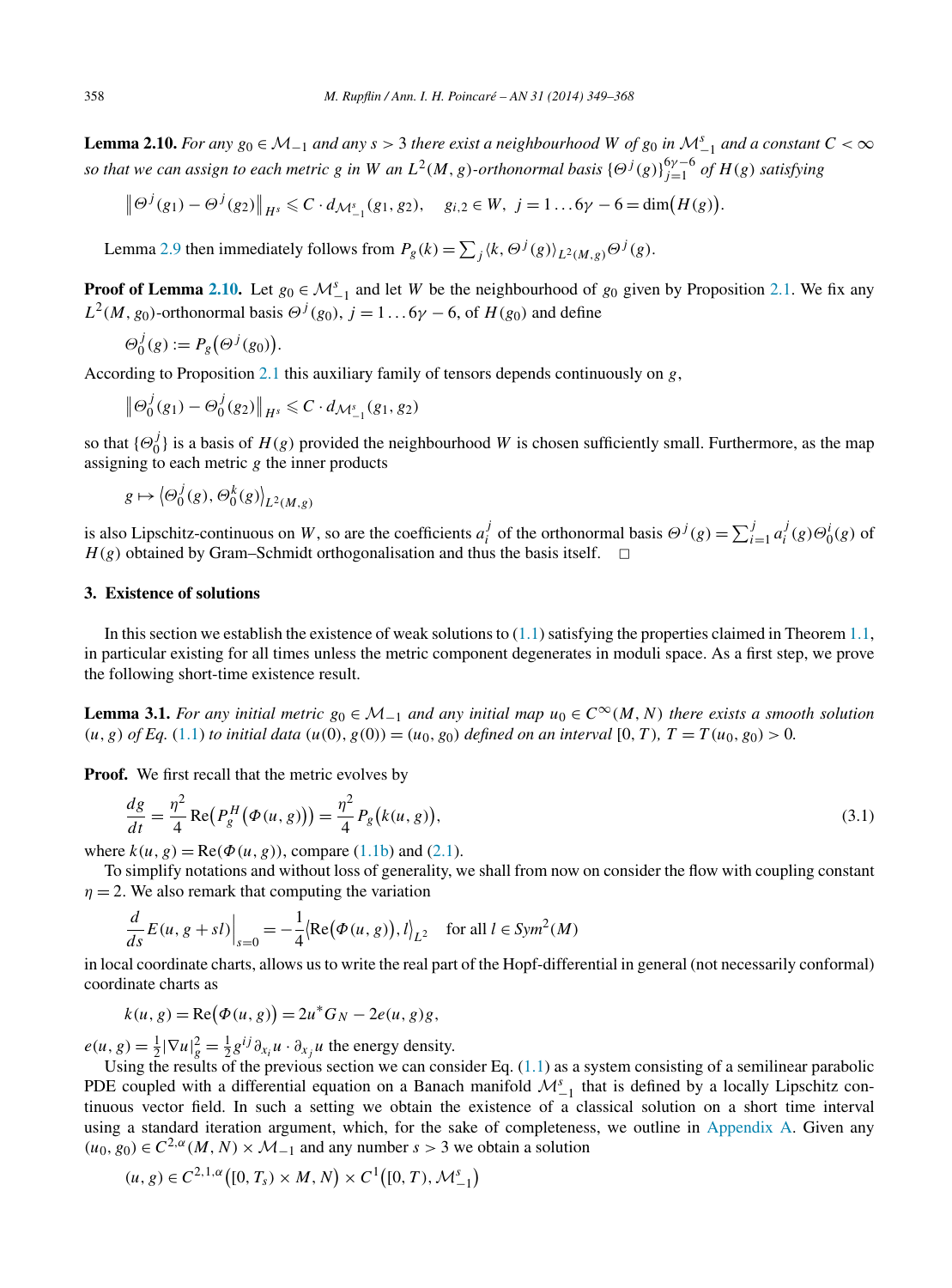<span id="page-9-0"></span>**Lemma 2.10.** *For any*  $g_0 \in M_{-1}$  *and any*  $s > 3$  *there exist a neighbourhood W of*  $g_0$  *in*  $M_{-1}^s$  *and a constant*  $C < \infty$ *so that we can assign to each metric g in W an*  $L^2(M,g)$ *-orthonormal basis*  $\{\Theta^j(g)\}_{j=1}^{6\gamma-6}$  of  $H(g)$  satisfying

$$
\|\Theta^{j}(g_1)-\Theta^{j}(g_2)\|_{H^{s}}\leq C\cdot d_{\mathcal{M}^{s}_{-1}}(g_1,g_2),\quad g_{i,2}\in W,\ j=1\ldots 6\gamma-6=\dim\bigl(H(g)\bigr).
$$

Lemma [2.9](#page-8-0) then immediately follows from  $P_g(k) = \sum_j \langle k, \Theta^j(g) \rangle_{L^2(M, g)} \Theta^j(g)$ .

**Proof of Lemma 2.10.** Let  $g_0 \in M_{-1}^s$  and let *W* be the neighbourhood of  $g_0$  given by Proposition [2.1.](#page-3-0) We fix any  $L^2(M, g_0)$ -orthonormal basis  $\Theta^j(g_0)$ ,  $j = 1 \dots 6\gamma - 6$ , of  $H(g_0)$  and define

$$
\Theta_0^j(g) := P_g\big(\Theta^j(g_0)\big).
$$

According to Proposition [2.1](#page-3-0) this auxiliary family of tensors depends continuously on *g*,

$$
\left\|\Theta_0^j(g_1) - \Theta_0^j(g_2)\right\|_{H^s} \leq C \cdot d_{\mathcal{M}^s_{-1}}(g_1, g_2)
$$

so that  ${\{\Theta_0^j\}}$  is a basis of  $H(g)$  provided the neighbourhood *W* is chosen sufficiently small. Furthermore, as the map assigning to each metric *g* the inner products

$$
g \mapsto \left\langle \Theta_0^j(g), \Theta_0^k(g) \right\rangle_{L^2(M, g)}
$$

is also Lipschitz-continuous on W, so are the coefficients  $a_i^j$  of the orthonormal basis  $\Theta^j(g) = \sum_{i=1}^j a_i^j(g)\Theta_0^i(g)$  of  $H(g)$  obtained by Gram–Schmidt orthogonalisation and thus the basis itself.  $\Box$ 

# **3. Existence of solutions**

In this section we establish the existence of weak solutions to  $(1.1)$  satisfying the properties claimed in Theorem [1.1,](#page-1-0) in particular existing for all times unless the metric component degenerates in moduli space. As a first step, we prove the following short-time existence result.

**Lemma 3.1.** *For any initial metric*  $g_0 \in M_{-1}$  *and any initial map*  $u_0 \in C^\infty(M, N)$  *there exists a smooth solution*  $(u, g)$  *of Eq.* [\(1.1\)](#page-1-0) *to initial data*  $(u(0), g(0)) = (u_0, g_0)$  *defined on an interval* [0*, T*)*,*  $T = T(u_0, g_0) > 0$ .

**Proof.** We first recall that the metric evolves by

$$
\frac{dg}{dt} = \frac{\eta^2}{4} \text{Re}\big(P_g^H(\Phi(u,g))\big) = \frac{\eta^2}{4} P_g(k(u,g)),\tag{3.1}
$$

where  $k(u, g) = \text{Re}(\Phi(u, g))$ , compare [\(1.1b\)](#page-1-0) and [\(2.1\)](#page-3-0).

To simplify notations and without loss of generality, we shall from now on consider the flow with coupling constant  $\eta = 2$ . We also remark that computing the variation

$$
\frac{d}{ds}E(u, g + sl)\Big|_{s=0} = -\frac{1}{4} \langle \text{Re}(\Phi(u, g)), l \rangle_{L^2} \quad \text{for all } l \in \text{Sym}^2(M)
$$

in local coordinate charts, allows us to write the real part of the Hopf-differential in general (not necessarily conformal) coordinate charts as

$$
k(u, g) = \text{Re}(\Phi(u, g)) = 2u^*G_N - 2e(u, g)g,
$$

 $e(u, g) = \frac{1}{2} |\nabla u|_g^2 = \frac{1}{2} g^{ij} \partial_{x_i} u \cdot \partial_{x_j} u$  the energy density.

Using the results of the previous section we can consider Eq.  $(1.1)$  as a system consisting of a semilinear parabolic PDE coupled with a differential equation on a Banach manifold  $\mathcal{M}_{-1}^s$  that is defined by a locally Lipschitz continuous vector field. In such a setting we obtain the existence of a classical solution on a short time interval using a standard iteration argument, which, for the sake of completeness, we outline in [Appendix A.](#page-16-0) Given any  $(u_0, g_0) \in C^{2,\alpha}(M, N) \times \mathcal{M}_{-1}$  and any number  $s > 3$  we obtain a solution

$$
(u, g) \in C^{2, 1, \alpha}([0, T_s) \times M, N) \times C^1([0, T), \mathcal{M}_{-1}^s)
$$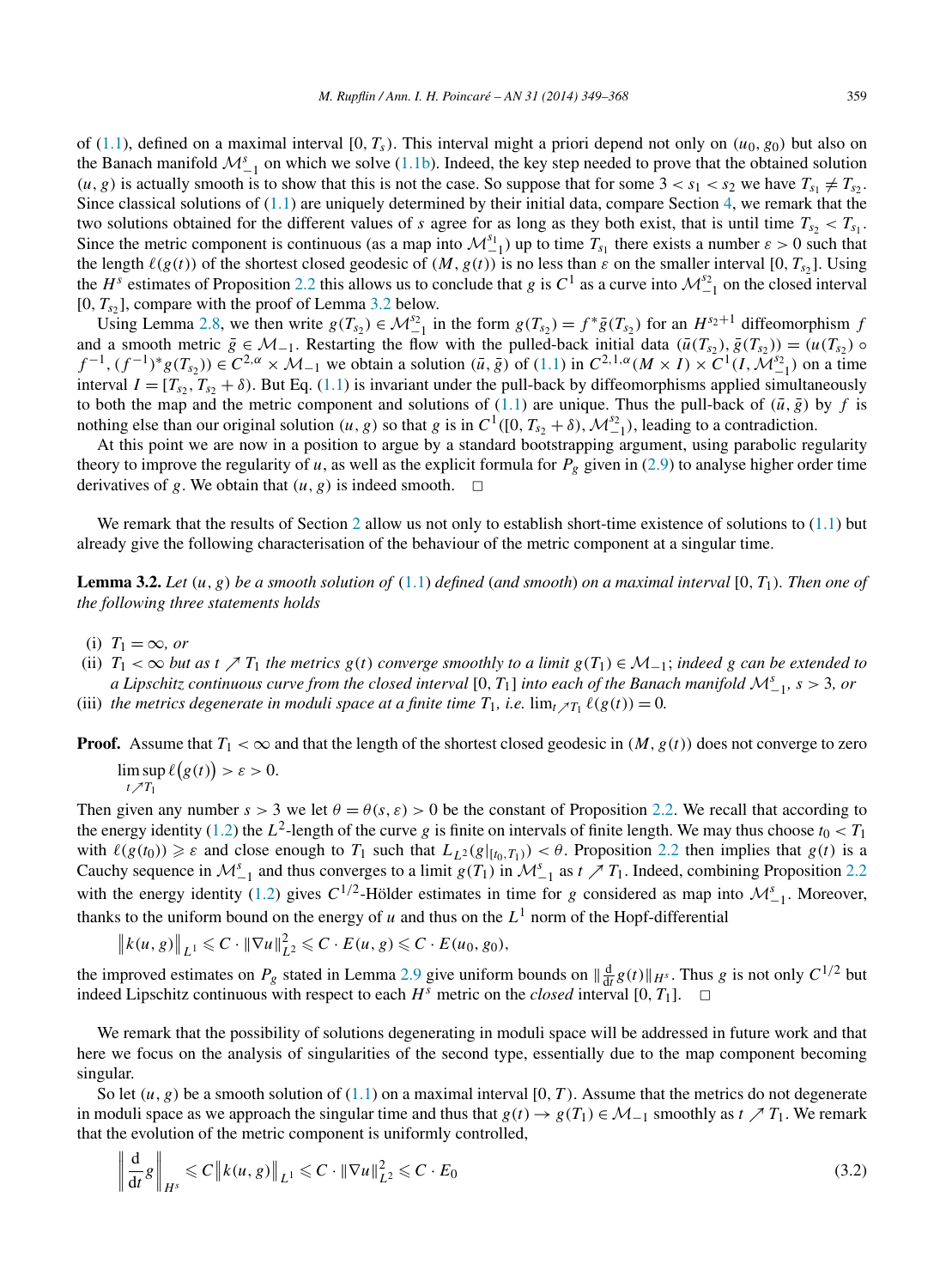<span id="page-10-0"></span>of [\(1.1\)](#page-1-0), defined on a maximal interval  $[0, T_s)$ . This interval might a priori depend not only on  $(u_0, g_0)$  but also on the Banach manifold  $M_{-1}^s$  on which we solve [\(1.1b\)](#page-1-0). Indeed, the key step needed to prove that the obtained solution  $(u, g)$  is actually smooth is to show that this is not the case. So suppose that for some  $3 < s_1 < s_2$  we have  $T_{s_1} \neq T_{s_2}$ . Since classical solutions of  $(1.1)$  are uniquely determined by their initial data, compare Section [4,](#page-14-0) we remark that the two solutions obtained for the different values of *s* agree for as long as they both exist, that is until time  $T_{s2} < T_{s1}$ . Since the metric component is continuous (as a map into  $\mathcal{M}_{-1}^{s_1}$ ) up to time  $T_{s_1}$  there exists a number  $\varepsilon > 0$  such that the length  $\ell(g(t))$  of the shortest closed geodesic of  $(M, g(t))$  is no less than  $\varepsilon$  on the smaller interval [0,  $T_{s2}$ ]. Using the *H<sup>s</sup>* estimates of Proposition [2.2](#page-4-0) this allows us to conclude that *g* is  $C^1$  as a curve into  $\mathcal{M}_{-1}^{s_2}$  on the closed interval  $[0, T<sub>s2</sub>]$ , compare with the proof of Lemma 3.2 below.

Using Lemma [2.8,](#page-8-0) we then write  $g(T_{s_2}) \in \mathcal{M}_{-1}^{s_2}$  in the form  $g(T_{s_2}) = f^* \overline{g}(T_{s_2})$  for an  $H^{s_2+1}$  diffeomorphism *f* and a smooth metric  $\bar{g} \in \mathcal{M}_{-1}$ . Restarting the flow with the pulled-back initial data  $(\bar{u}(T_{s_2}), \bar{g}(T_{s_2})) = (u(T_{s_2}) \circ$  $f^{-1}$ ,  $(f^{-1})^*g(T_{s_2})$   $\in C^{2,\alpha} \times \mathcal{M}_{-1}$  we obtain a solution  $(\bar{u}, \bar{g})$  of  $(1.1)$  in  $C^{2,1,\alpha}(M \times I) \times C^1(I, \mathcal{M}_{-1}^{s_2})$  on a time interval  $I = [T_{s2}, T_{s2} + \delta)$ . But Eq. [\(1.1\)](#page-1-0) is invariant under the pull-back by diffeomorphisms applied simultaneously to both the map and the metric component and solutions of [\(1.1\)](#page-1-0) are unique. Thus the pull-back of  $(\bar{u}, \bar{g})$  by *f* is nothing else than our original solution  $(u, g)$  so that *g* is in  $C^1([0, T_{s_2} + \delta), \mathcal{M}_{-1}^{s_2})$ , leading to a contradiction.

At this point we are now in a position to argue by a standard bootstrapping argument, using parabolic regularity theory to improve the regularity of *u*, as well as the explicit formula for  $P_g$  given in [\(2.9\)](#page-5-0) to analyse higher order time derivatives of *g*. We obtain that  $(u, g)$  is indeed smooth.  $\Box$ 

We remark that the results of Section [2](#page-3-0) allow us not only to establish short-time existence of solutions to  $(1.1)$  but already give the following characterisation of the behaviour of the metric component at a singular time.

**Lemma 3.2.** *Let (u, g) be a smooth solution of* [\(1.1\)](#page-1-0) *defined* (*and smooth*) *on a maximal interval* [0*,T*1*). Then one of the following three statements holds*

- (i)  $T_1 = \infty$ , or
- (ii)  $T_1 < \infty$  *but as*  $t \nearrow T_1$  *the metrics*  $g(t)$  *converge smoothly to a limit*  $g(T_1) \in \mathcal{M}_{-1}$ *; indeed g can be extended to a Lipschitz continuous curve from the closed interval* [0*,T*1] *into each of the Banach manifold* <sup>M</sup>*<sup>s</sup>* <sup>−</sup>1*, s >* 3*, or*
- (iii) *the metrics degenerate in moduli space at a finite time*  $T_1$ *, <i>i.e.*  $\lim_{t \nearrow T_1} \ell(g(t)) = 0$ .

**Proof.** Assume that  $T_1 < \infty$  and that the length of the shortest closed geodesic in  $(M, g(t))$  does not converge to zero  $\limsup \ell(g(t)) > \varepsilon > 0.$ 

$$
t \nearrow T_1
$$

Then given any number  $s > 3$  we let  $\theta = \theta(s, \varepsilon) > 0$  be the constant of Proposition [2.2.](#page-4-0) We recall that according to the energy identity [\(1.2\)](#page-2-0) the  $L^2$ -length of the curve *g* is finite on intervals of finite length. We may thus choose  $t_0 < T_1$ with  $\ell(g(t_0)) \geq \varepsilon$  and close enough to  $T_1$  such that  $L_{L^2}(g|_{[t_0,T_1)}) < \theta$ . Proposition [2.2](#page-4-0) then implies that  $g(t)$  is a Cauchy sequence in  $\mathcal{M}_{-1}^s$  and thus converges to a limit  $g(T_1)$  in  $\mathcal{M}_{-1}^s$  as  $t \nearrow T_1$ . Indeed, combining Proposition [2.2](#page-4-0) with the energy identity [\(1.2\)](#page-2-0) gives  $C^{1/2}$ -Hölder estimates in time for *g* considered as map into  $\mathcal{M}_{-1}^s$ . Moreover, thanks to the uniform bound on the energy of *u* and thus on the  $L^1$  norm of the Hopf-differential

$$
\left\|k(u,g)\right\|_{L^1}\leqslant C\cdot\left\|\nabla u\right\|_{L^2}^2\leqslant C\cdot E(u,g)\leqslant C\cdot E(u_0,g_0),
$$

the improved estimates on  $P_g$  stated in Lemma [2.9](#page-8-0) give uniform bounds on  $\|\frac{d}{dt}g(t)\|_{H^s}$ . Thus *g* is not only  $C^{1/2}$  but indeed Lipschitz continuous with respect to each  $H^s$  metric on the *closed* interval [0,  $T_1$ ].  $\Box$ 

We remark that the possibility of solutions degenerating in moduli space will be addressed in future work and that here we focus on the analysis of singularities of the second type, essentially due to the map component becoming singular.

So let  $(u, g)$  be a smooth solution of  $(1.1)$  on a maximal interval  $[0, T)$ . Assume that the metrics do not degenerate in moduli space as we approach the singular time and thus that  $g(t) \to g(T_1) \in \mathcal{M}_{-1}$  smoothly as  $t \nearrow T_1$ . We remark that the evolution of the metric component is uniformly controlled,

$$
\left\| \frac{\mathrm{d}}{\mathrm{d}t} g \right\|_{H^s} \leqslant C \left\| k(u, g) \right\|_{L^1} \leqslant C \cdot \left\| \nabla u \right\|_{L^2}^2 \leqslant C \cdot E_0 \tag{3.2}
$$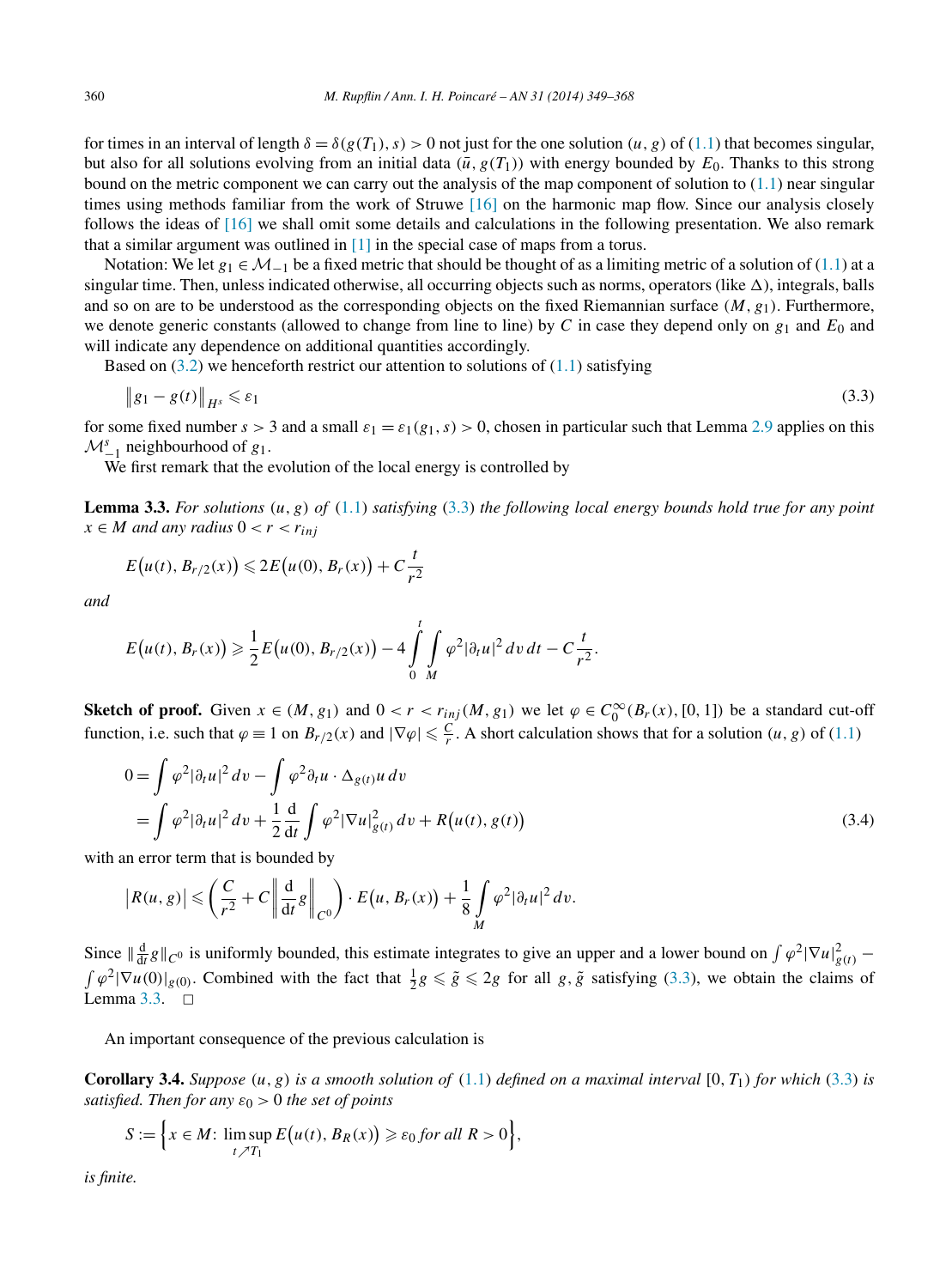<span id="page-11-0"></span>for times in an interval of length  $\delta = \delta(g(T_1), s) > 0$  not just for the one solution  $(u, g)$  of [\(1.1\)](#page-1-0) that becomes singular, but also for all solutions evolving from an initial data  $(\bar{u}, g(T_1))$  with energy bounded by  $E_0$ . Thanks to this strong bound on the metric component we can carry out the analysis of the map component of solution to  $(1.1)$  near singular times using methods familiar from the work of Struwe [\[16\]](#page-19-0) on the harmonic map flow. Since our analysis closely follows the ideas of [\[16\]](#page-19-0) we shall omit some details and calculations in the following presentation. We also remark that a similar argument was outlined in [\[1\]](#page-18-0) in the special case of maps from a torus.

Notation: We let *g*<sub>1</sub> ∈  $M_{-1}$  be a fixed metric that should be thought of as a limiting metric of a solution of [\(1.1\)](#page-1-0) at a singular time. Then, unless indicated otherwise, all occurring objects such as norms, operators (like  $\Delta$ ), integrals, balls and so on are to be understood as the corresponding objects on the fixed Riemannian surface  $(M, g_1)$ . Furthermore, we denote generic constants (allowed to change from line to line) by *C* in case they depend only on  $g_1$  and  $E_0$  and will indicate any dependence on additional quantities accordingly.

Based on  $(3.2)$  we henceforth restrict our attention to solutions of  $(1.1)$  satisfying

$$
\|g_1 - g(t)\|_{H^s} \leq \varepsilon_1 \tag{3.3}
$$

for some fixed number  $s > 3$  and a small  $\varepsilon_1 = \varepsilon_1(g_1, s) > 0$ , chosen in particular such that Lemma [2.9](#page-8-0) applies on this  $M^s_{-1}$  neighbourhood of *g*<sub>1</sub>.

We first remark that the evolution of the local energy is controlled by

**Lemma 3.3.** *For solutions (u,g) of* [\(1.1\)](#page-1-0) *satisfying* (3.3) *the following local energy bounds hold true for any point*  $x \in M$  *and any radius*  $0 < r < r_{inj}$ 

$$
E(u(t), B_{r/2}(x)) \leq 2E(u(0), B_r(x)) + C\frac{t}{r^2}
$$

*and*

$$
E(u(t), B_r(x)) \geq \frac{1}{2} E(u(0), B_{r/2}(x)) - 4 \int_{0}^{t} \int_{M} \varphi^2 |\partial_t u|^2 dv dt - C \frac{t}{r^2}.
$$

**Sketch of proof.** Given  $x \in (M, g_1)$  and  $0 < r < r_{inj}(M, g_1)$  we let  $\varphi \in C_0^{\infty}(B_r(x), [0, 1])$  be a standard cut-off function, i.e. such that  $\varphi \equiv 1$  on  $B_{r/2}(x)$  and  $|\nabla \varphi| \leq \frac{C}{r}$ . A short calculation shows that for a solution  $(u, g)$  of [\(1.1\)](#page-1-0)

$$
0 = \int \varphi^2 |\partial_t u|^2 dv - \int \varphi^2 \partial_t u \cdot \Delta_{g(t)} u dv
$$
  
= 
$$
\int \varphi^2 |\partial_t u|^2 dv + \frac{1}{2} \frac{d}{dt} \int \varphi^2 |\nabla u|_{g(t)}^2 dv + R(u(t), g(t))
$$
 (3.4)

with an error term that is bounded by

$$
\left|R(u,g)\right| \leqslant \left(\frac{C}{r^2}+C\left\|\frac{d}{dt}g\right\|_{C^0}\right)\cdot E\left(u,B_r(x)\right)+\frac{1}{8}\int\limits_M\varphi^2|\partial_tu|^2\,dv.
$$

Since  $\|\frac{d}{dt}g\|_{C^0}$  is uniformly bounded, this estimate integrates to give an upper and a lower bound on  $\int \varphi^2 |\nabla u|_{g(t)}^2$  $\int \varphi^2 |\nabla u(0)|_{g(0)}$ . Combined with the fact that  $\frac{1}{2}g \leq \tilde{g} \leq 2g$  for all  $g, \tilde{g}$  satisfying (3.3), we obtain the claims of Lemma  $3.3.$   $\Box$ 

An important consequence of the previous calculation is

**Corollary 3.4.** *Suppose*  $(u, g)$  *is a smooth solution of*  $(1.1)$  *defined on a maximal interval*  $[0, T_1)$  *for which*  $(3.3)$  *is satisfied. Then for any*  $\varepsilon_0 > 0$  *the set of points* 

$$
S := \Big\{ x \in M: \limsup_{t \nearrow T_1} E(u(t), B_R(x)) \geq \varepsilon_0 \text{ for all } R > 0 \Big\},\
$$

*is finite.*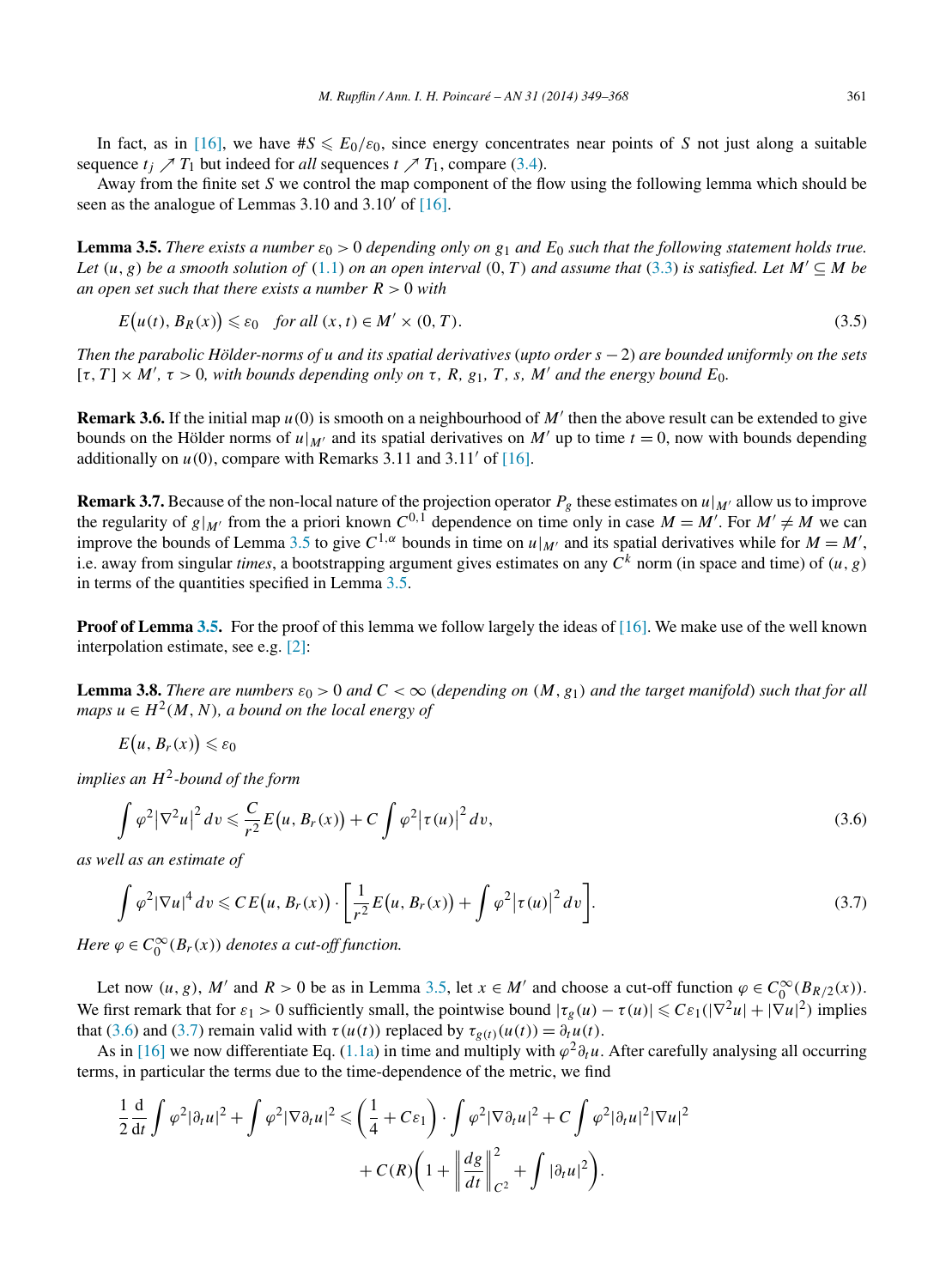<span id="page-12-0"></span>In fact, as in [\[16\],](#page-19-0) we have  $\#S \leq E_0/\varepsilon_0$ , since energy concentrates near points of *S* not just along a suitable sequence  $t_i \nearrow T_1$  but indeed for *all* sequences  $t \nearrow T_1$ , compare [\(3.4\)](#page-11-0).

Away from the finite set *S* we control the map component of the flow using the following lemma which should be seen as the analogue of Lemmas 3.10 and 3.10' of  $[16]$ .

**Lemma 3.5.** *There exists a number*  $\varepsilon_0 > 0$  *depending only on*  $g_1$  *and*  $E_0$  *such that the following statement holds true. Let*  $(u, g)$  *be a smooth solution of*  $(1.1)$  *on an open interval*  $(0, T)$  *and assume that*  $(3.3)$  *is satisfied. Let*  $M' \subseteq M$  *be an open set such that there exists a number R >* 0 *with*

$$
E(u(t), B_R(x)) \le \varepsilon_0 \quad \text{for all } (x, t) \in M' \times (0, T). \tag{3.5}
$$

*Then the parabolic Hölder-norms of u and its spatial derivatives* (*upto order s* −2) *are bounded uniformly on the sets*  $[\tau, T] \times M'$ ,  $\tau > 0$ , with bounds depending only on  $\tau$ , R, g<sub>1</sub>, T, s, M' and the energy bound E<sub>0</sub>.

**Remark 3.6.** If the initial map  $u(0)$  is smooth on a neighbourhood of M' then the above result can be extended to give bounds on the Hölder norms of  $u|_{M'}$  and its spatial derivatives on M' up to time  $t = 0$ , now with bounds depending additionally on  $u(0)$ , compare with Remarks 3.11 and 3.11' of [\[16\].](#page-19-0)

**Remark 3.7.** Because of the non-local nature of the projection operator  $P_g$  these estimates on  $u|_{M'}$  allow us to improve the regularity of  $g|_{M'}$  from the a priori known  $C^{0,1}$  dependence on time only in case  $M = M'$ . For  $M' \neq M$  we can improve the bounds of Lemma 3.5 to give  $C^{1,\alpha}$  bounds in time on  $u|_{M'}$  and its spatial derivatives while for  $M = M'$ , i.e. away from singular *times*, a bootstrapping argument gives estimates on any  $\hat{C}^k$  norm (in space and time) of  $(u, g)$ in terms of the quantities specified in Lemma 3.5.

**Proof of Lemma 3.5.** For the proof of this lemma we follow largely the ideas of [\[16\].](#page-19-0) We make use of the well known interpolation estimate, see e.g. [\[2\]:](#page-18-0)

**Lemma 3.8.** *There are numbers*  $\varepsilon_0 > 0$  *and*  $C < \infty$  (depending on  $(M, g_1)$  and the target manifold) such that for all *maps*  $u \in H^2(M, N)$ *, a bound on the local energy of* 

$$
E(u, B_r(x)) \leq \varepsilon_0
$$

*implies an H*2*-bound of the form*

$$
\int \varphi^2 |\nabla^2 u|^2 dv \leqslant \frac{C}{r^2} E(u, B_r(x)) + C \int \varphi^2 |\tau(u)|^2 dv,
$$
\n(3.6)

*as well as an estimate of*

$$
\int \varphi^2 |\nabla u|^4 dv \leqslant CE(u, B_r(x)) \cdot \left[ \frac{1}{r^2} E(u, B_r(x)) + \int \varphi^2 |\tau(u)|^2 dv \right].
$$
\n(3.7)

*Here*  $\varphi \in C_0^{\infty}(B_r(x))$  *denotes a cut-off function.* 

Let now  $(u, g)$ , *M'* and  $R > 0$  be as in Lemma 3.5, let  $x \in M'$  and choose a cut-off function  $\varphi \in C_0^{\infty}(B_{R/2}(x))$ . We first remark that for  $\varepsilon_1 > 0$  sufficiently small, the pointwise bound  $|\tau_g(u) - \tau(u)| \leqslant C \varepsilon_1(|\nabla^2 u| + |\nabla u|^2)$  implies that (3.6) and (3.7) remain valid with  $\tau(u(t))$  replaced by  $\tau_{g(t)}(u(t)) = \partial_t u(t)$ .

As in [\[16\]](#page-19-0) we now differentiate Eq. [\(1.1a\)](#page-1-0) in time and multiply with  $\varphi^2 \partial_t u$ . After carefully analysing all occurring terms, in particular the terms due to the time-dependence of the metric, we find

$$
\frac{1}{2}\frac{\mathrm{d}}{\mathrm{d}t}\int \varphi^2 |\partial_t u|^2 + \int \varphi^2 |\nabla \partial_t u|^2 \leqslant \left(\frac{1}{4} + C\varepsilon_1\right) \cdot \int \varphi^2 |\nabla \partial_t u|^2 + C \int \varphi^2 |\partial_t u|^2 |\nabla u|^2
$$

$$
+ C(R)\left(1 + \left\|\frac{dg}{dt}\right\|_{C^2}^2 + \int |\partial_t u|^2\right).
$$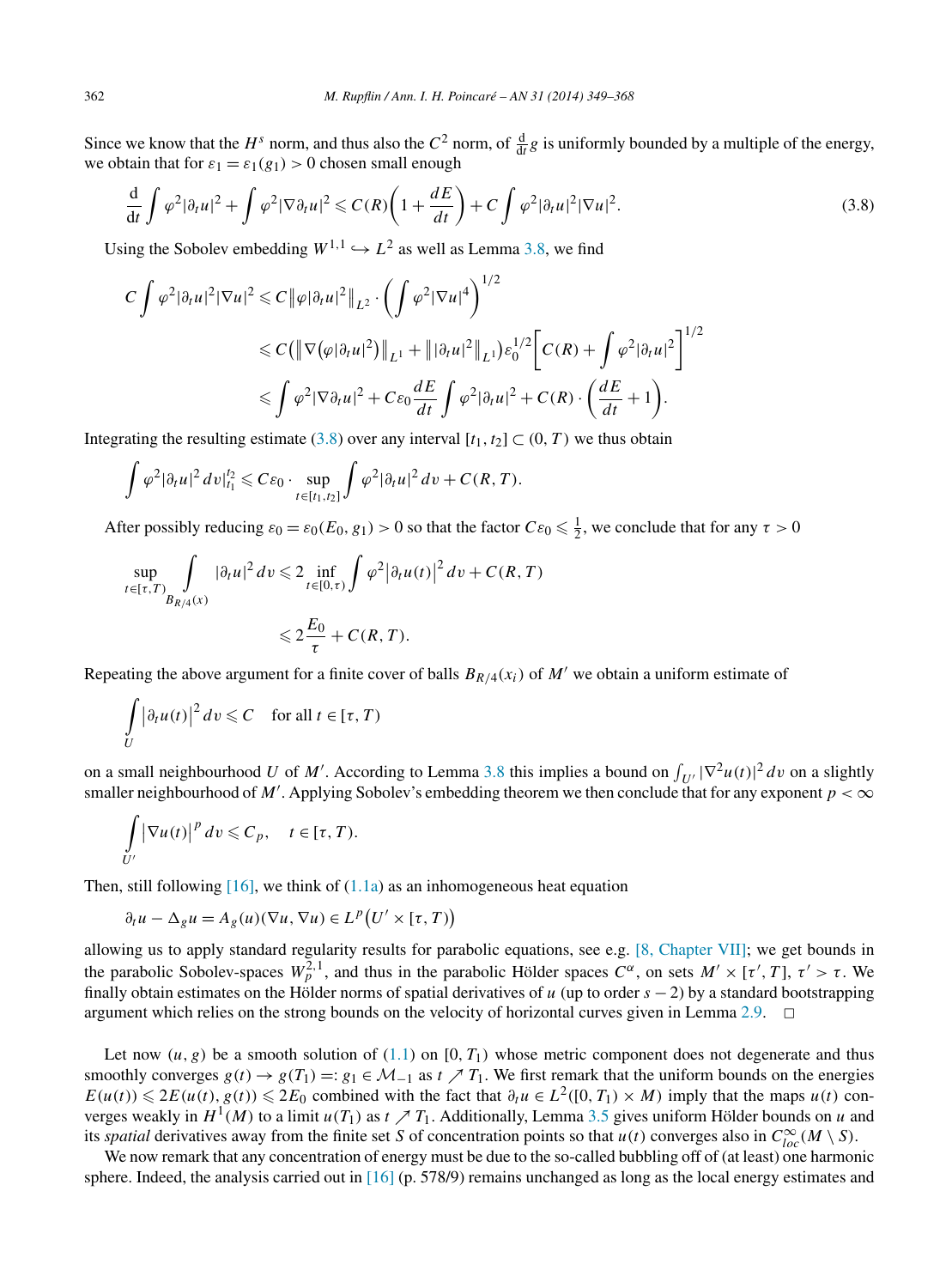Since we know that the  $H^s$  norm, and thus also the  $C^2$  norm, of  $\frac{d}{dt}g$  is uniformly bounded by a multiple of the energy, we obtain that for  $\varepsilon_1 = \varepsilon_1(g_1) > 0$  chosen small enough

$$
\frac{\mathrm{d}}{\mathrm{d}t} \int \varphi^2 |\partial_t u|^2 + \int \varphi^2 |\nabla \partial_t u|^2 \leqslant C(R) \left( 1 + \frac{dE}{dt} \right) + C \int \varphi^2 |\partial_t u|^2 |\nabla u|^2. \tag{3.8}
$$

Using the Sobolev embedding  $W^{1,1} \hookrightarrow L^2$  as well as Lemma [3.8,](#page-12-0) we find

$$
C \int \varphi^2 |\partial_t u|^2 |\nabla u|^2 \leq C \|\varphi |\partial_t u|^2 \|_{L^2} \cdot \left( \int \varphi^2 |\nabla u|^4 \right)^{1/2}
$$
  

$$
\leq C \left( \|\nabla (\varphi |\partial_t u|^2) \|_{L^1} + \||\partial_t u|^2 \|_{L^1} \right) \varepsilon_0^{1/2} \left[ C(R) + \int \varphi^2 |\partial_t u|^2 \right]^{1/2}
$$
  

$$
\leq \int \varphi^2 |\nabla \partial_t u|^2 + C\varepsilon_0 \frac{dE}{dt} \int \varphi^2 |\partial_t u|^2 + C(R) \cdot \left( \frac{dE}{dt} + 1 \right).
$$

Integrating the resulting estimate (3.8) over any interval  $[t_1, t_2] \subset (0, T)$  we thus obtain

$$
\int \varphi^2 |\partial_t u|^2 dv \big|_{t_1}^{t_2} \leqslant C\varepsilon_0 \cdot \sup_{t \in [t_1,t_2]} \int \varphi^2 |\partial_t u|^2 dv + C(R,T).
$$

After possibly reducing  $\varepsilon_0 = \varepsilon_0(E_0, g_1) > 0$  so that the factor  $C\varepsilon_0 \le \frac{1}{2}$ , we conclude that for any  $\tau > 0$ 

$$
\sup_{t \in [\tau, T)} \int_{B_{R/4}(x)} |\partial_t u|^2 dv \leq 2 \inf_{t \in [0, \tau)} \int \varphi^2 |\partial_t u(t)|^2 dv + C(R, T)
$$
  

$$
\leq 2 \frac{E_0}{\tau} + C(R, T).
$$

Repeating the above argument for a finite cover of balls  $B_{R/4}(x_i)$  of M' we obtain a uniform estimate of

$$
\int\limits_U |\partial_t u(t)|^2 dv \leqslant C \quad \text{for all } t \in [\tau, T)
$$

on a small neighbourhood *U* of *M'*. According to Lemma [3.8](#page-12-0) this implies a bound on  $\int_{U'} |\nabla^2 u(t)|^2 dv$  on a slightly smaller neighbourhood of *M'*. Applying Sobolev's embedding theorem we then conclude that for any exponent  $p < \infty$ 

$$
\int_{U'} |\nabla u(t)|^p dv \leqslant C_p, \quad t \in [\tau, T).
$$

Then, still following  $[16]$ , we think of  $(1.1a)$  as an inhomogeneous heat equation

$$
\partial_t u - \Delta_g u = A_g(u)(\nabla u, \nabla u) \in L^p(U' \times [\tau, T))
$$

allowing us to apply standard regularity results for parabolic equations, see e.g. [8, [Chapter VII\];](#page-18-0) we get bounds in the parabolic Sobolev-spaces  $W_p^{2,1}$ , and thus in the parabolic Hölder spaces  $C^\alpha$ , on sets  $M' \times [\tau', T]$ ,  $\tau' > \tau$ . We finally obtain estimates on the Hölder norms of spatial derivatives of *u* (up to order *s* − 2) by a standard bootstrapping argument which relies on the strong bounds on the velocity of horizontal curves given in Lemma [2.9.](#page-8-0)  $\Box$ 

Let now  $(u, g)$  be a smooth solution of  $(1.1)$  on  $[0, T_1)$  whose metric component does not degenerate and thus smoothly converges  $g(t) \rightarrow g(T_1) =: g_1 \in \mathcal{M}_{-1}$  as  $t \nearrow T_1$ . We first remark that the uniform bounds on the energies  $E(u(t)) \leq 2E(u(t), g(t)) \leq 2E_0$  combined with the fact that  $\partial_t u \in L^2([0, T_1) \times M)$  imply that the maps  $u(t)$  converges weakly in  $H^1(M)$  to a limit  $u(T_1)$  as  $t \nearrow T_1$ . Additionally, Lemma [3.5](#page-12-0) gives uniform Hölder bounds on *u* and its *spatial* derivatives away from the finite set *S* of concentration points so that *u(t)* converges also in  $C_{loc}^{\infty}(M \setminus S)$ .

We now remark that any concentration of energy must be due to the so-called bubbling off of (at least) one harmonic sphere. Indeed, the analysis carried out in  $[16]$  (p. 578/9) remains unchanged as long as the local energy estimates and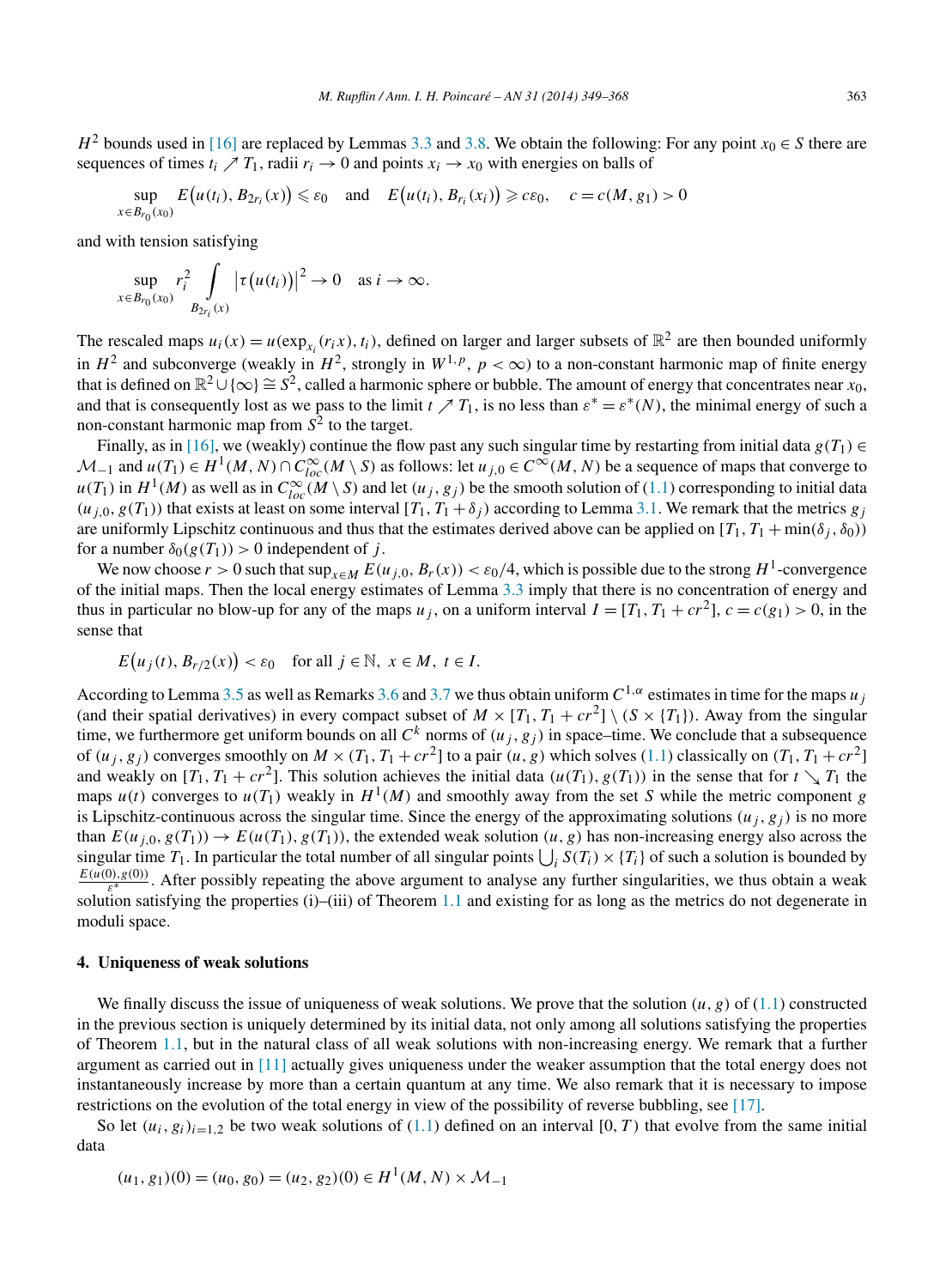<span id="page-14-0"></span>*H*<sup>2</sup> bounds used in [\[16\]](#page-19-0) are replaced by Lemmas [3.3](#page-11-0) and [3.8.](#page-12-0) We obtain the following: For any point  $x_0 \in S$  there are sequences of times  $t_i \nearrow T_1$ , radii  $r_i \rightarrow 0$  and points  $x_i \rightarrow x_0$  with energies on balls of

$$
\sup_{x \in B_{r_0}(x_0)} E(u(t_i), B_{2r_i}(x)) \le \varepsilon_0 \quad \text{and} \quad E(u(t_i), B_{r_i}(x_i)) \ge c\varepsilon_0, \quad c = c(M, g_1) > 0
$$

and with tension satisfying

$$
\sup_{x \in B_{r_0}(x_0)} r_i^2 \int\limits_{B_{2r_i}(x)} |\tau(u(t_i))|^2 \to 0 \quad \text{as } i \to \infty.
$$

The rescaled maps  $u_i(x) = u(\exp_{x_i}(r_i x), t_i)$ , defined on larger and larger subsets of  $\mathbb{R}^2$  are then bounded uniformly in  $H^2$  and subconverge (weakly in  $H^2$ , strongly in  $W^{1,p}$ ,  $p < \infty$ ) to a non-constant harmonic map of finite energy that is defined on  $\mathbb{R}^2 \cup \{\infty\} \cong S^2$ , called a harmonic sphere or bubble. The amount of energy that concentrates near *x*<sub>0</sub>, and that is consequently lost as we pass to the limit  $t \nearrow T_1$ , is no less than  $\varepsilon^* = \varepsilon^*(N)$ , the minimal energy of such a non-constant harmonic map from  $S^2$  to the target.

Finally, as in [\[16\],](#page-19-0) we (weakly) continue the flow past any such singular time by restarting from initial data  $g(T_1) \in$  $M_{-1}$  and  $u(T_1) \in H^1(M, N) \cap C^{\infty}_{loc}(M \setminus S)$  as follows: let  $u_{j,0} \in C^{\infty}(M, N)$  be a sequence of maps that converge to  $u(T_1)$  in  $H^1(M)$  as well as in  $C^{\infty}_{loc}(M \setminus S)$  and let  $(u_j, g_j)$  be the smooth solution of [\(1.1\)](#page-1-0) corresponding to initial data  $(u_{i,0}, g(T_1))$  that exists at least on some interval  $[T_1, T_1 + \delta_i]$  according to Lemma [3.1.](#page-9-0) We remark that the metrics  $g_i$ are uniformly Lipschitz continuous and thus that the estimates derived above can be applied on  $[T_1, T_1 + min(\delta_i, \delta_0)]$ for a number  $\delta_0(g(T_1)) > 0$  independent of *j*.

We now choose  $r > 0$  such that  $\sup_{x \in M} E(u_{i,0}, B_r(x)) < \varepsilon_0/4$ , which is possible due to the strong  $H^1$ -convergence of the initial maps. Then the local energy estimates of Lemma [3.3](#page-11-0) imply that there is no concentration of energy and thus in particular no blow-up for any of the maps  $u_j$ , on a uniform interval  $I = [T_1, T_1 + cr^2]$ ,  $c = c(g_1) > 0$ , in the sense that

$$
E(u_j(t), B_{r/2}(x)) < \varepsilon_0 \quad \text{for all } j \in \mathbb{N}, \ x \in M, \ t \in I.
$$

According to Lemma [3.5](#page-12-0) as well as Remarks [3.6](#page-12-0) and [3.7](#page-12-0) we thus obtain uniform  $C^{1,\alpha}$  estimates in time for the maps *u*<sub>*i*</sub> (and their spatial derivatives) in every compact subset of  $M \times [T_1, T_1 + cr^2] \setminus (S \times \{T_1\})$ . Away from the singular time, we furthermore get uniform bounds on all  $C^k$  norms of  $(u_j, g_j)$  in space–time. We conclude that a subsequence of  $(u_j, g_j)$  converges smoothly on  $M \times (T_1, T_1 + cr^2)$  to a pair  $(u, g)$  which solves [\(1.1\)](#page-1-0) classically on  $(T_1, T_1 + cr^2)$ and weakly on  $[T_1, T_1 + cr^2]$ . This solution achieves the initial data  $(u(T_1), g(T_1))$  in the sense that for  $t \searrow T_1$  the maps  $u(t)$  converges to  $u(T_1)$  weakly in  $H^1(M)$  and smoothly away from the set *S* while the metric component *g* is Lipschitz-continuous across the singular time. Since the energy of the approximating solutions  $(u_j, g_j)$  is no more than  $E(u_{i,0},g(T_1)) \to E(u(T_1),g(T_1))$ , the extended weak solution  $(u,g)$  has non-increasing energy also across the singular time  $T_1$ . In particular the total number of all singular points  $\bigcup_i S(T_i) \times \{T_i\}$  of such a solution is bounded by  $\frac{E(u(0),g(0))}{\varepsilon^*}$ . After possibly repeating the above argument to analyse any further singularities, we thus obtain a weak solution satisfying the properties (i)–(iii) of Theorem [1.1](#page-1-0) and existing for as long as the metrics do not degenerate in moduli space.

## **4. Uniqueness of weak solutions**

We finally discuss the issue of uniqueness of weak solutions. We prove that the solution  $(u, g)$  of  $(1.1)$  constructed in the previous section is uniquely determined by its initial data, not only among all solutions satisfying the properties of Theorem [1.1,](#page-1-0) but in the natural class of all weak solutions with non-increasing energy. We remark that a further argument as carried out in [\[11\]](#page-19-0) actually gives uniqueness under the weaker assumption that the total energy does not instantaneously increase by more than a certain quantum at any time. We also remark that it is necessary to impose restrictions on the evolution of the total energy in view of the possibility of reverse bubbling, see [\[17\].](#page-19-0)

So let  $(u_i, g_i)_{i=1,2}$  be two weak solutions of [\(1.1\)](#page-1-0) defined on an interval [0, T) that evolve from the same initial data

$$
(u_1, g_1)(0) = (u_0, g_0) = (u_2, g_2)(0) \in H^1(M, N) \times \mathcal{M}_{-1}
$$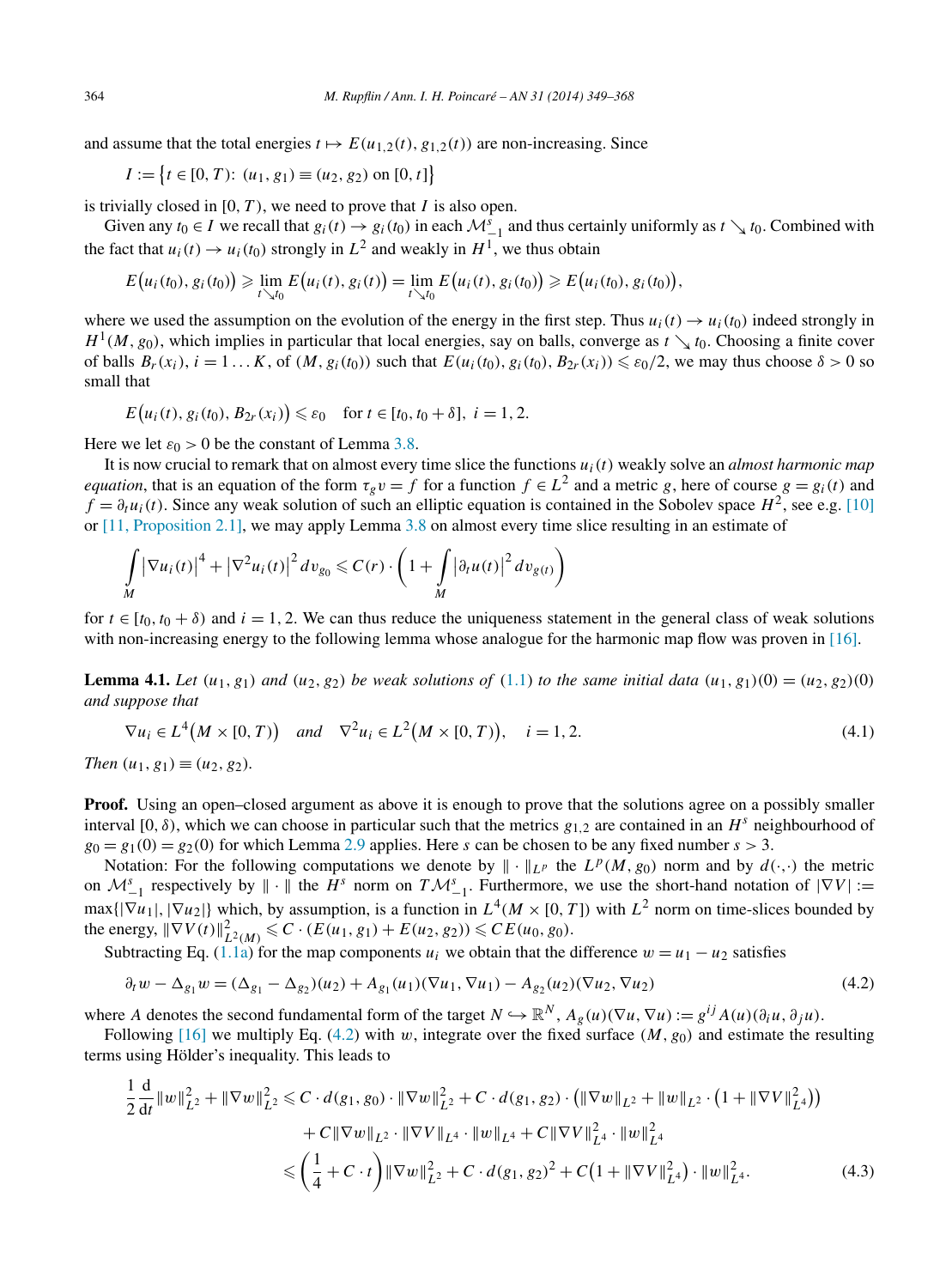<span id="page-15-0"></span>and assume that the total energies  $t \mapsto E(u_{1,2}(t), g_{1,2}(t))$  are non-increasing. Since

$$
I := \{ t \in [0, T): (u_1, g_1) \equiv (u_2, g_2) \text{ on } [0, t] \}
$$

is trivially closed in  $[0, T)$ , we need to prove that *I* is also open.

Given any  $t_0 \in I$  we recall that  $g_i(t) \to g_i(t_0)$  in each  $\mathcal{M}_{-1}^s$  and thus certainly uniformly as  $t \searrow t_0$ . Combined with the fact that  $u_i(t) \to u_i(t_0)$  strongly in  $L^2$  and weakly in  $H^1$ , we thus obtain

$$
E(u_i(t_0), g_i(t_0)) \geq \lim_{t \searrow t_0} E(u_i(t), g_i(t)) = \lim_{t \searrow t_0} E(u_i(t), g_i(t_0)) \geq E(u_i(t_0), g_i(t_0)),
$$

where we used the assumption on the evolution of the energy in the first step. Thus  $u_i(t) \rightarrow u_i(t_0)$  indeed strongly in  $H^1(M,g_0)$ , which implies in particular that local energies, say on balls, converge as  $t \searrow t_0$ . Choosing a finite cover of balls  $B_r(x_i)$ ,  $i = 1...K$ , of  $(M, g_i(t_0))$  such that  $E(u_i(t_0), g_i(t_0), B_{2r}(x_i)) \leq \varepsilon_0/2$ , we may thus choose  $\delta > 0$  so small that

$$
E(u_i(t), g_i(t_0), B_{2r}(x_i)) \le \varepsilon_0
$$
 for  $t \in [t_0, t_0 + \delta]$ ,  $i = 1, 2$ .

Here we let  $\varepsilon_0 > 0$  be the constant of Lemma [3.8.](#page-12-0)

It is now crucial to remark that on almost every time slice the functions  $u_i(t)$  weakly solve an *almost harmonic map equation*, that is an equation of the form  $\tau_g v = f$  for a function  $f \in L^2$  and a metric *g*, here of course  $g = g_i(t)$  and  $f = \partial_t u_i(t)$ . Since any weak solution of such an elliptic equation is contained in the Sobolev space  $H^2$ , see e.g. [\[10\]](#page-19-0) or [\[11, Proposition 2.1\],](#page-19-0) we may apply Lemma [3.8](#page-12-0) on almost every time slice resulting in an estimate of

$$
\int\limits_M |\nabla u_i(t)|^4 + |\nabla^2 u_i(t)|^2 dv_{g_0} \leqslant C(r) \cdot \left(1 + \int\limits_M |\partial_t u(t)|^2 dv_{g(t)}\right)
$$

for  $t \in [t_0, t_0 + \delta)$  and  $i = 1, 2$ . We can thus reduce the uniqueness statement in the general class of weak solutions with non-increasing energy to the following lemma whose analogue for the harmonic map flow was proven in [\[16\].](#page-19-0)

**Lemma 4.1.** Let  $(u_1, g_1)$  and  $(u_2, g_2)$  be weak solutions of [\(1.1\)](#page-1-0) to the same initial data  $(u_1, g_1)(0) = (u_2, g_2)(0)$ *and suppose that*

$$
\nabla u_i \in L^4(M \times [0, T))
$$
 and  $\nabla^2 u_i \in L^2(M \times [0, T)), \quad i = 1, 2.$  (4.1)

*Then*  $(u_1, g_1) \equiv (u_2, g_2)$ *.* 

**Proof.** Using an open–closed argument as above it is enough to prove that the solutions agree on a possibly smaller interval [0,  $\delta$ ), which we can choose in particular such that the metrics  $g_{1,2}$  are contained in an  $H^s$  neighbourhood of  $g_0 = g_1(0) = g_2(0)$  for which Lemma [2.9](#page-8-0) applies. Here *s* can be chosen to be any fixed number  $s > 3$ .

Notation: For the following computations we denote by  $\|\cdot\|_{L^p}$  the  $L^p(M,g_0)$  norm and by  $d(\cdot,\cdot)$  the metric on  $\mathcal{M}_{-1}^s$  respectively by  $\|\cdot\|$  the  $H^s$  norm on  $T\mathcal{M}_{-1}^s$ . Furthermore, we use the short-hand notation of  $|\nabla V| :=$  $max\{|\nabla u_1|, |\nabla u_2|\}$  which, by assumption, is a function in  $L^4(M \times [0, T])$  with  $L^2$  norm on time-slices bounded by the energy,  $\|\nabla V(t)\|_{L^2(M)}^2 \leq C \cdot (E(u_1, g_1) + E(u_2, g_2)) \leq C E(u_0, g_0)$ .

Subtracting Eq. [\(1.1a\)](#page-1-0) for the map components  $u_i$  we obtain that the difference  $w = u_1 - u_2$  satisfies

$$
\partial_t w - \Delta_{g_1} w = (\Delta_{g_1} - \Delta_{g_2})(u_2) + A_{g_1}(u_1)(\nabla u_1, \nabla u_1) - A_{g_2}(u_2)(\nabla u_2, \nabla u_2)
$$
\n(4.2)

where *A* denotes the second fundamental form of the target  $N \hookrightarrow \mathbb{R}^N$ ,  $A_g(u)(\nabla u, \nabla u) := g^{ij}A(u)(\partial_i u, \partial_j u)$ .

Following [\[16\]](#page-19-0) we multiply Eq. (4.2) with *w*, integrate over the fixed surface  $(M, g_0)$  and estimate the resulting terms using Hölder's inequality. This leads to

$$
\frac{1}{2} \frac{d}{dt} ||w||_{L^{2}}^{2} + ||\nabla w||_{L^{2}}^{2} \leq C \cdot d(g_{1}, g_{0}) \cdot ||\nabla w||_{L^{2}}^{2} + C \cdot d(g_{1}, g_{2}) \cdot (||\nabla w||_{L^{2}} + ||w||_{L^{2}} \cdot (1 + ||\nabla V||_{L^{4}}^{2})) \n+ C ||\nabla w||_{L^{2}} \cdot ||\nabla V||_{L^{4}} \cdot ||w||_{L^{4}} + C ||\nabla V||_{L^{4}}^{2} \cdot ||w||_{L^{4}}^{2} \n\leq \left(\frac{1}{4} + C \cdot t\right) ||\nabla w||_{L^{2}}^{2} + C \cdot d(g_{1}, g_{2})^{2} + C\left(1 + ||\nabla V||_{L^{4}}^{2}\right) \cdot ||w||_{L^{4}}^{2}.
$$
\n(4.3)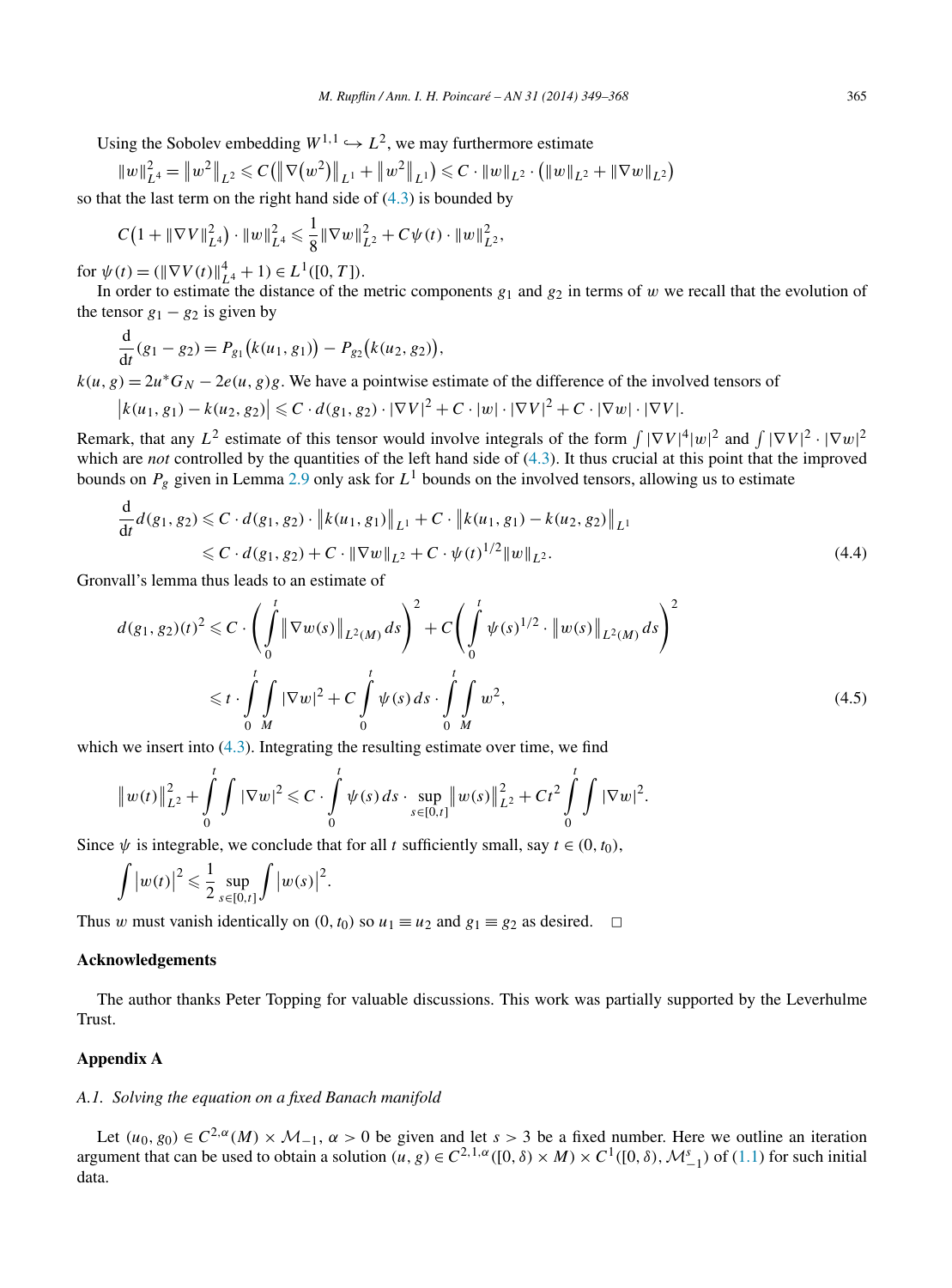<span id="page-16-0"></span>Using the Sobolev embedding  $W^{1,1} \hookrightarrow L^2$ , we may furthermore estimate

$$
||w||_{L^4}^2 = ||w^2||_{L^2} \leqslant C(||\nabla(w^2)||_{L^1} + ||w^2||_{L^1}) \leqslant C \cdot ||w||_{L^2} \cdot (||w||_{L^2} + ||\nabla w||_{L^2})
$$

so that the last term on the right hand side of  $(4.3)$  is bounded by

$$
C\big(1+\|\nabla V\|_{L^4}^2\big)\cdot\|w\|_{L^4}^2\leqslant\frac{1}{8}\|\nabla w\|_{L^2}^2+C\psi(t)\cdot\|w\|_{L^2}^2,
$$

 $f \text{or } \psi(t) = (\|\nabla V(t)\|_{L^4}^4 + 1) \in L^1([0, T]).$ 

In order to estimate the distance of the metric components  $g_1$  and  $g_2$  in terms of *w* we recall that the evolution of the tensor  $g_1 - g_2$  is given by

$$
\frac{\mathrm{d}}{\mathrm{d}t}(g_1 - g_2) = P_{g_1}(k(u_1, g_1)) - P_{g_2}(k(u_2, g_2)),
$$

 $k(u, g) = 2u^*G_N - 2e(u, g)g$ . We have a pointwise estimate of the difference of the involved tensors of

$$
\left|k(u_1,g_1)-k(u_2,g_2)\right|\leqslant C\cdot d(g_1,g_2)\cdot|\nabla V|^2+C\cdot|w|\cdot|\nabla V|^2+C\cdot|\nabla w|\cdot|\nabla V|.
$$

Remark, that any  $L^2$  estimate of this tensor would involve integrals of the form  $\int |\nabla V|^4 |w|^2$  and  $\int |\nabla V|^2 \cdot |\nabla w|^2$ which are *not* controlled by the quantities of the left hand side of [\(4.3\)](#page-15-0). It thus crucial at this point that the improved bounds on  $P_g$  given in Lemma [2.9](#page-8-0) only ask for  $L^1$  bounds on the involved tensors, allowing us to estimate

$$
\frac{d}{dt}d(g_1, g_2) \leq C \cdot d(g_1, g_2) \cdot \|k(u_1, g_1)\|_{L^1} + C \cdot \|k(u_1, g_1) - k(u_2, g_2)\|_{L^1} \leq C \cdot d(g_1, g_2) + C \cdot \|\nabla w\|_{L^2} + C \cdot \psi(t)^{1/2} \|w\|_{L^2}.
$$
\n(4.4)

Gronvall's lemma thus leads to an estimate of

$$
d(g_1, g_2)(t)^2 \leq C \cdot \left( \int_0^t \|\nabla w(s)\|_{L^2(M)} ds \right)^2 + C \left( \int_0^t \psi(s)^{1/2} \cdot \|w(s)\|_{L^2(M)} ds \right)^2
$$
  
 
$$
\leq t \cdot \int_0^t \int_M |\nabla w|^2 + C \int_0^t \psi(s) ds \cdot \int_0^t \int_M w^2,
$$
 (4.5)

which we insert into  $(4.3)$ . Integrating the resulting estimate over time, we find

$$
||w(t)||_{L^2}^2 + \int_0^t \int |\nabla w|^2 \leq C \cdot \int_0^t \psi(s) ds \cdot \sup_{s \in [0,t]} ||w(s)||_{L^2}^2 + Ct^2 \int_0^t \int |\nabla w|^2.
$$

Since  $\psi$  is integrable, we conclude that for all *t* sufficiently small, say  $t \in (0, t_0)$ ,

$$
\int \left|w(t)\right|^2 \leqslant \frac{1}{2}\sup_{s\in[0,t]}\int \left|w(s)\right|^2.
$$

Thus *w* must vanish identically on  $(0, t_0)$  so  $u_1 \equiv u_2$  and  $g_1 \equiv g_2$  as desired.  $\Box$ 

## **Acknowledgements**

The author thanks Peter Topping for valuable discussions. This work was partially supported by the Leverhulme Trust.

### **Appendix A**

# *A.1. Solving the equation on a fixed Banach manifold*

Let  $(u_0, g_0) \in C^{2,\alpha}(M) \times \mathcal{M}_{-1}$ ,  $\alpha > 0$  be given and let  $s > 3$  be a fixed number. Here we outline an iteration argument that can be used to obtain a solution  $(u, g) \in C^{2,1,\alpha}([0,\delta) \times M) \times C^1([0,\delta), \mathcal{M}_{-1}^s)$  of [\(1.1\)](#page-1-0) for such initial data.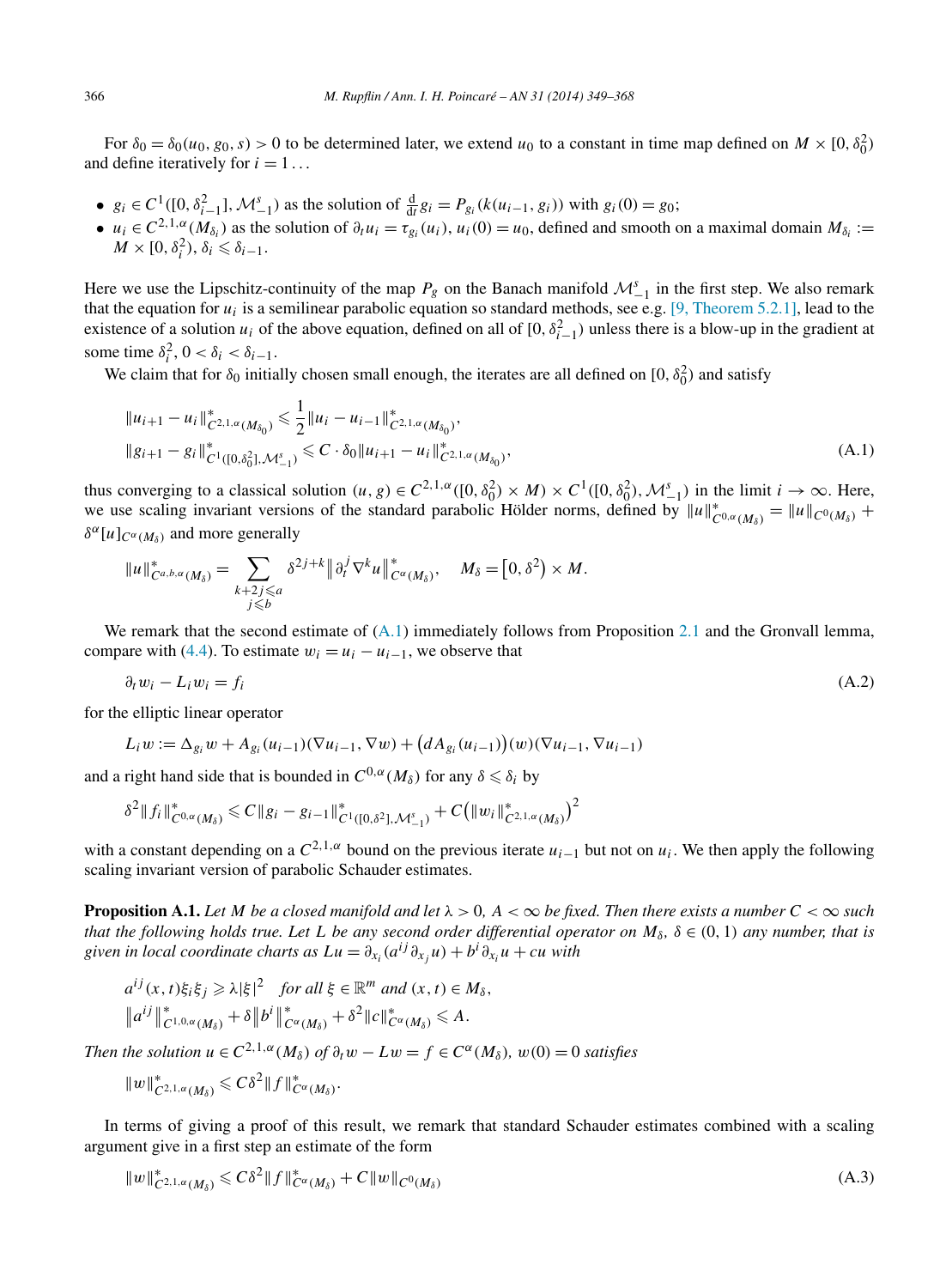<span id="page-17-0"></span>For  $\delta_0 = \delta_0(u_0, g_0, s) > 0$  to be determined later, we extend  $u_0$  to a constant in time map defined on  $M \times [0, \delta_0^2)$ and define iteratively for  $i = 1...$ 

- $g_i \in C^1([0, \delta_{i-1}^2], \mathcal{M}_{-1}^s)$  as the solution of  $\frac{d}{dt} g_i = P_{g_i}(k(u_{i-1}, g_i))$  with  $g_i(0) = g_0$ ;
- $u_i \in C^{2,1,\alpha}(M_{\delta_i})$  as the solution of  $\partial_t u_i = \tau_{g_i}(u_i)$ ,  $u_i(0) = u_0$ , defined and smooth on a maximal domain  $M_{\delta_i} :=$  $M \times [0, \delta_i^2), \delta_i \leq \delta_{i-1}.$

Here we use the Lipschitz-continuity of the map  $P_g$  on the Banach manifold  $\mathcal{M}_{-1}^s$  in the first step. We also remark that the equation for  $u_i$  is a semilinear parabolic equation so standard methods, see e.g. [\[9, Theorem 5.2.1\],](#page-18-0) lead to the existence of a solution  $u_i$  of the above equation, defined on all of  $[0, \delta_{i-1}^2)$  unless there is a blow-up in the gradient at some time  $\delta_i^2$ ,  $0 < \delta_i < \delta_{i-1}$ .

We claim that for  $\delta_0$  initially chosen small enough, the iterates are all defined on [0,  $\delta_0^2$ ) and satisfy

$$
||u_{i+1} - u_i||_{C^{2,1,\alpha}(M_{\delta_0})}^* \le \frac{1}{2} ||u_i - u_{i-1}||_{C^{2,1,\alpha}(M_{\delta_0})}^*,
$$
  
\n
$$
||g_{i+1} - g_i||_{C^1([0,\delta_0^2],\mathcal{M}_{-1}^s)}^* \le C \cdot \delta_0 ||u_{i+1} - u_i||_{C^{2,1,\alpha}(M_{\delta_0})}^*,
$$
\n(A.1)

thus converging to a classical solution  $(u, g) \in C^{2,1,\alpha}([0, \delta_0^2) \times M) \times C^1([0, \delta_0^2), \mathcal{M}_{-1}^s)$  in the limit  $i \to \infty$ . Here, we use scaling invariant versions of the standard parabolic Hölder norms, defined by  $||u||_{C^{0,\alpha}(M_\delta)}^* = ||u||_{C^{0}(M_\delta)} +$  $\delta^{\alpha}[u]_{C^{\alpha}(M_{\delta})}$  and more generally

$$
||u||^*_{C^{a,b,\alpha}(M_\delta)} = \sum_{\substack{k+2j\leq a\\j\leq b}} \delta^{2j+k} ||\partial_t^j \nabla^k u||^*_{C^\alpha(M_\delta)}, \quad M_\delta = [0,\delta^2) \times M.
$$

We remark that the second estimate of  $(A.1)$  immediately follows from Proposition [2.1](#page-3-0) and the Gronvall lemma, compare with [\(4.4\)](#page-16-0). To estimate  $w_i = u_i - u_{i-1}$ , we observe that

$$
\partial_t w_i - L_i w_i = f_i \tag{A.2}
$$

for the elliptic linear operator

 $L_i w := \Delta_{g_i} w + A_{g_i}(u_{i-1})(\nabla u_{i-1}, \nabla w) + (dA_{g_i}(u_{i-1}))(w)(\nabla u_{i-1}, \nabla u_{i-1})$ 

and a right hand side that is bounded in  $C^{0,\alpha}(M_\delta)$  for any  $\delta \leq \delta_i$  by

$$
\delta^2 \|f_i\|_{C^{0,\alpha}(M_\delta)}^* \leq C \|g_i - g_{i-1}\|_{C^1([0,\delta^2],\mathcal{M}_{-1}^s)}^* + C (||w_i||_{C^{2,1,\alpha}(M_\delta)}^*)^2
$$

with a constant depending on a  $C^{2,1,\alpha}$  bound on the previous iterate  $u_{i-1}$  but not on  $u_i$ . We then apply the following scaling invariant version of parabolic Schauder estimates.

**Proposition A.1.** Let M be a closed manifold and let  $\lambda > 0$ ,  $A < \infty$  be fixed. Then there exists a number  $C < \infty$  such *that the following holds true. Let L be any second order differential operator on*  $M_{\delta}$ ,  $\delta \in (0,1)$  *any number, that is given in local coordinate charts as*  $Lu = \partial_{x_i}(a^{ij}\partial_{x_j}u) + b^i\partial_{x_i}u + cu$  *with* 

$$
a^{ij}(x,t)\xi_i\xi_j \ge \lambda |\xi|^2 \quad \text{for all } \xi \in \mathbb{R}^m \text{ and } (x,t) \in M_\delta,
$$
  

$$
\|a^{ij}\|_{C^{1,0,\alpha}(M_\delta)}^* + \delta \|b^i\|_{C^\alpha(M_\delta)}^* + \delta^2 \|c\|_{C^\alpha(M_\delta)}^* \le A.
$$

*Then the solution*  $u \in C^{2,1,\alpha}(M_{\delta})$  *of*  $\partial_t w - Lw = f \in C^{\alpha}(M_{\delta})$ *,*  $w(0) = 0$  *satisfies* 

$$
||w||_{C^{2,1,\alpha}(M_\delta)}^* \leqslant C\delta^2||f||_{C^\alpha(M_\delta)}^*.
$$

In terms of giving a proof of this result, we remark that standard Schauder estimates combined with a scaling argument give in a first step an estimate of the form

$$
||w||_{C^{2,1,\alpha}(M_\delta)}^* \leq C\delta^2 ||f||_{C^\alpha(M_\delta)}^* + C ||w||_{C^0(M_\delta)}
$$
\n(A.3)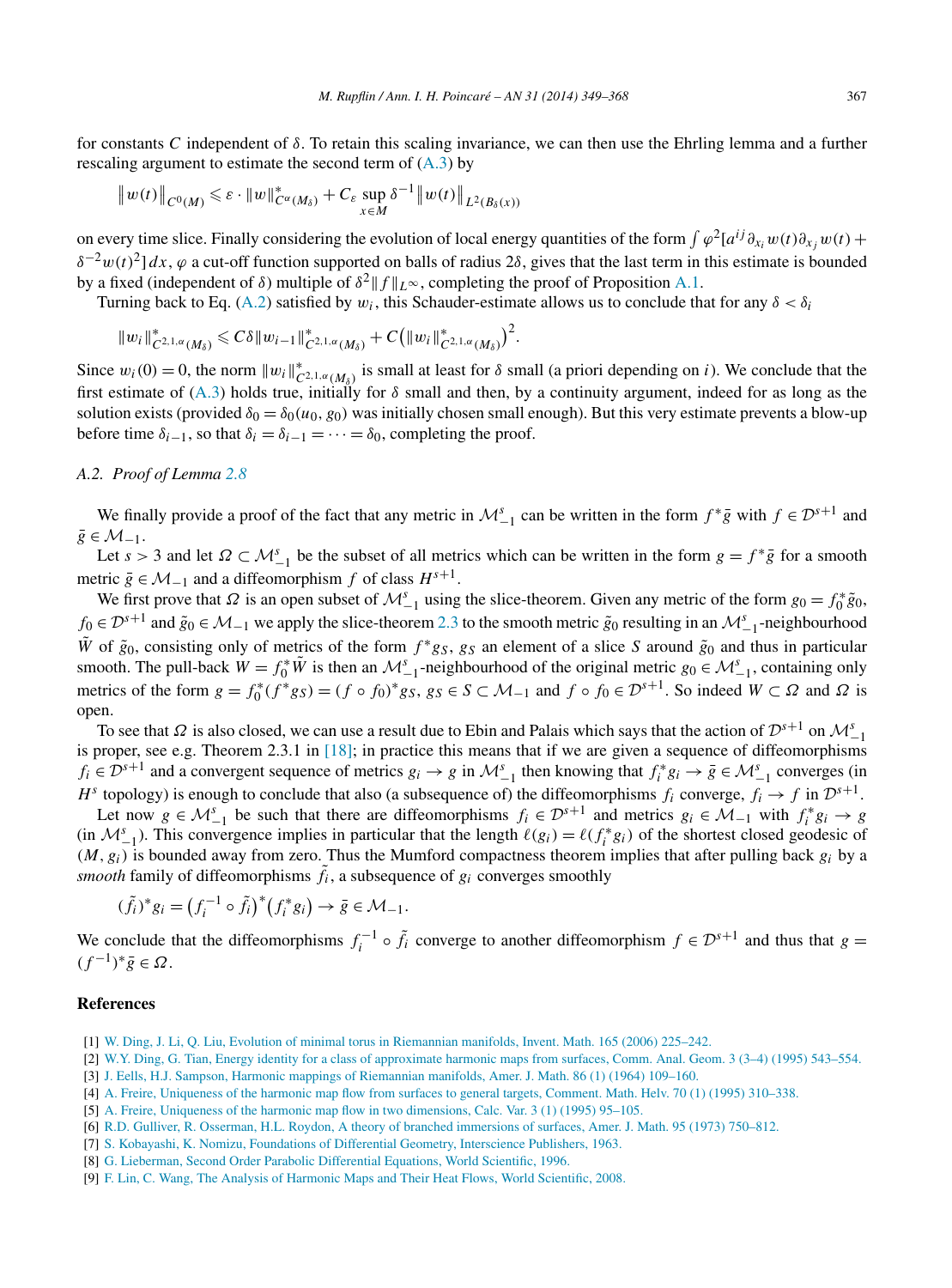<span id="page-18-0"></span>for constants *C* independent of *δ*. To retain this scaling invariance, we can then use the Ehrling lemma and a further rescaling argument to estimate the second term of  $(A.3)$  by

$$
||w(t)||_{C^0(M)} \leq \varepsilon \cdot ||w||_{C^{\alpha}(M_{\delta})}^* + C_{\varepsilon} \sup_{x \in M} \delta^{-1} ||w(t)||_{L^2(B_{\delta}(x))}
$$

on every time slice. Finally considering the evolution of local energy quantities of the form  $\int \varphi^2[a^{ij}\partial_{x_i}w(t)\partial_{x_j}w(t)+\varphi^2(a^{ij}\partial_{x_i}w(t)\partial_{x_j}w(t)]$  $\delta^{-2}w(t)^2$  *dx*,  $\varphi$  a cut-off function supported on balls of radius 2*δ*, gives that the last term in this estimate is bounded by a fixed (independent of *δ*) multiple of  $\delta^2 ||f||_{L^{\infty}}$ , completing the proof of Proposition [A.1.](#page-17-0)

Turning back to Eq. [\(A.2\)](#page-17-0) satisfied by  $w_i$ , this Schauder-estimate allows us to conclude that for any  $\delta < \delta_i$ 

$$
||w_i||_{C^{2,1,\alpha}(M_\delta)}^* \leq C\delta ||w_{i-1}||_{C^{2,1,\alpha}(M_\delta)}^* + C (||w_i||_{C^{2,1,\alpha}(M_\delta)}^*)^2.
$$

Since  $w_i(0) = 0$ , the norm  $||w_i||_{C^{2,1,\alpha}(M_\delta)}^*$  is small at least for  $\delta$  small (a priori depending on *i*). We conclude that the first estimate of [\(A.3\)](#page-17-0) holds true, initially for *δ* small and then, by a continuity argument, indeed for as long as the solution exists (provided  $\delta_0 = \delta_0(u_0, g_0)$  was initially chosen small enough). But this very estimate prevents a blow-up before time  $\delta_{i-1}$ , so that  $\delta_i = \delta_{i-1} = \cdots = \delta_0$ , completing the proof.

## *A.2. Proof of Lemma [2.8](#page-8-0)*

We finally provide a proof of the fact that any metric in  $\mathcal{M}_{-1}^s$  can be written in the form  $f^*g$  with  $f \in \mathcal{D}^{s+1}$  and  $\bar{g} \in \mathcal{M}_{-1}$ .

Let  $s > 3$  and let  $\Omega \subset M_{-1}^s$  be the subset of all metrics which can be written in the form  $g = f^* \overline{g}$  for a smooth metric  $\bar{g}$  ∈  $\mathcal{M}_{-1}$  and a diffeomorphism *f* of class  $H^{s+1}$ .

We first prove that  $\Omega$  is an open subset of  $\mathcal{M}_{-1}^s$  using the slice-theorem. Given any metric of the form  $g_0 = f_0^* \tilde{g}_0$ , *f*<sub>0</sub> ∈  $\mathcal{D}^{s+1}$  and  $\tilde{g}_0 \in \mathcal{M}_{-1}$  we apply the slice-theorem [2.3](#page-4-0) to the smooth metric  $\tilde{g}_0$  resulting in an  $\mathcal{M}^s_{-1}$ -neighbourhood *W* of  $\tilde{g}_0$ , consisting only of metrics of the form  $f * g_S$ ,  $g_S$  an element of a slice *S* around  $\tilde{g}_0$  and thus in particular smooth. The pull-back  $W = f_0^* \tilde{W}$  is then an  $\mathcal{M}_{-1}^s$ -neighbourhood of the original metric  $g_0 \in \mathcal{M}_{-1}^s$ , containing only metrics of the form  $g = f_0^*(f^*g_S) = (f \circ f_0)^*g_S$ ,  $g_S \in S \subset M_{-1}$  and  $f \circ f_0 \in \mathcal{D}^{s+1}$ . So indeed  $W \subset \Omega$  and  $\Omega$  is open.

To see that  $\Omega$  is also closed, we can use a result due to Ebin and Palais which says that the action of  $\mathcal{D}^{s+1}$  on  $\mathcal{M}_{-1}^s$ is proper, see e.g. Theorem 2.3.1 in [\[18\];](#page-19-0) in practice this means that if we are given a sequence of diffeomorphisms  $f_i \in \mathcal{D}^{s+1}$  and a convergent sequence of metrics  $g_i \to g$  in  $\mathcal{M}_{-1}^s$  then knowing that  $f_i^* g_i \to \bar{g} \in \mathcal{M}_{-1}^s$  converges (in *H*<sup>*s*</sup> topology) is enough to conclude that also (a subsequence of) the diffeomorphisms  $f_i$  converge,  $f_i \rightarrow f$  in  $\mathcal{D}^{s+1}$ .

Let now  $g \in M_{-1}^s$  be such that there are diffeomorphisms  $f_i \in \mathcal{D}^{s+1}$  and metrics  $g_i \in \mathcal{M}_{-1}$  with  $f_i^* g_i \to g$ (in  $\mathcal{M}_{-1}^s$ ). This convergence implies in particular that the length  $\ell(g_i) = \ell(f_i^* g_i)$  of the shortest closed geodesic of *(M,gi)* is bounded away from zero. Thus the Mumford compactness theorem implies that after pulling back *gi* by a *smooth* family of diffeomorphisms  $\tilde{f}_i$ , a subsequence of  $g_i$  converges smoothly

$$
(\tilde{f}_i)^* g_i = (f_i^{-1} \circ \tilde{f}_i)^* (f_i^* g_i) \to \bar{g} \in \mathcal{M}_{-1}.
$$

We conclude that the diffeomorphisms  $f_i^{-1} \circ \tilde{f}_i$  converge to another diffeomorphism  $f \in \mathcal{D}^{s+1}$  and thus that  $g =$  $(f^{-1})^* \bar{g}$  ∈  $\Omega$ .

#### **References**

- [1] [W. Ding, J. Li, Q. Liu, Evolution of minimal torus in Riemannian manifolds, Invent. Math. 165 \(2006\) 225–242.](http://refhub.elsevier.com/S0294-1449(13)00053-X/bib44696E672D4C692D4C6975s1)
- [2] [W.Y. Ding, G. Tian, Energy identity for a class of approximate harmonic maps from surfaces, Comm. Anal. Geom. 3 \(3–4\) \(1995\) 543–554.](http://refhub.elsevier.com/S0294-1449(13)00053-X/bib44696E672D5469616Es1)
- [3] J. [Eells, H.J. Sampson, Harmonic mappings of Riemannian manifolds, Amer. J. Math. 86 \(1\) \(1964\) 109–160.](http://refhub.elsevier.com/S0294-1449(13)00053-X/bib45656C6C732B53616D70736F6Es1)
- [4] A. [Freire, Uniqueness of the harmonic map flow from surfaces to general targets, Comment. Math. Helv. 70 \(1\) \(1995\) 310–338.](http://refhub.elsevier.com/S0294-1449(13)00053-X/bib46726569726532s1)
- [5] A. [Freire, Uniqueness of the harmonic map flow in two dimensions, Calc. Var. 3 \(1\) \(1995\) 95–105.](http://refhub.elsevier.com/S0294-1449(13)00053-X/bib467265697265s1)
- [6] R.D. [Gulliver, R. Osserman, H.L. Roydon, A theory of branched immersions of surfaces, Amer. J. Math. 95 \(1973\) 750–812.](http://refhub.elsevier.com/S0294-1449(13)00053-X/bib474F52s1)
- [7] S. [Kobayashi, K. Nomizu, Foundations of Differential Geometry, Interscience Publishers, 1963.](http://refhub.elsevier.com/S0294-1449(13)00053-X/bib4B6F622D4E6F6Ds1)
- [8] G. [Lieberman, Second Order Parabolic Differential Equations, World Scientific, 1996.](http://refhub.elsevier.com/S0294-1449(13)00053-X/bib4C69656265726D616Es1)
- [9] [F. Lin, C. Wang, The Analysis of Harmonic Maps and Their Heat Flows, World Scientific, 2008.](http://refhub.elsevier.com/S0294-1449(13)00053-X/bib4C696E2D57616E67s1)